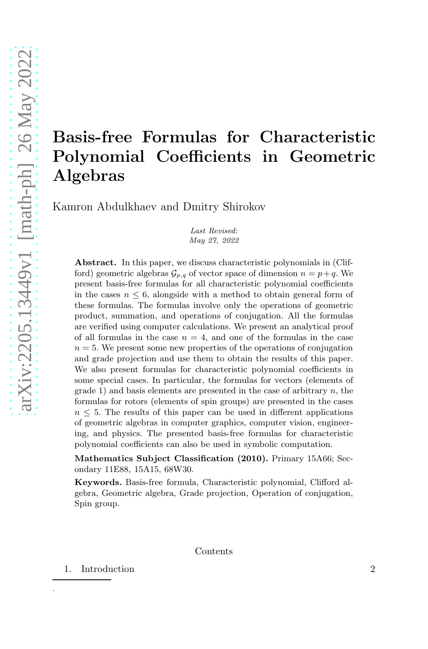# Basis-free Formulas for Characteristic Polynomial Coefficients in Geometric Algebras

Kamron Abdulkhaev and Dmitry Shirokov

Last Revised: May 27, 2022

Abstract. In this paper, we discuss characteristic polynomials in (Clifford) geometric algebras  $\mathcal{G}_{p,q}$  of vector space of dimension  $n = p+q$ . We present basis-free formulas for all characteristic polynomial coefficients in the cases  $n \leq 6$ , alongside with a method to obtain general form of these formulas. The formulas involve only the operations of geometric product, summation, and operations of conjugation. All the formulas are verified using computer calculations. We present an analytical proof of all formulas in the case  $n = 4$ , and one of the formulas in the case  $n = 5$ . We present some new properties of the operations of conjugation and grade projection and use them to obtain the results of this paper. We also present formulas for characteristic polynomial coefficients in some special cases. In particular, the formulas for vectors (elements of grade 1) and basis elements are presented in the case of arbitrary n, the formulas for rotors (elements of spin groups) are presented in the cases  $n \leq 5$ . The results of this paper can be used in different applications of geometric algebras in computer graphics, computer vision, engineering, and physics. The presented basis-free formulas for characteristic polynomial coefficients can also be used in symbolic computation.

Mathematics Subject Classification (2010). Primary 15A66; Secondary 11E88, 15A15, 68W30.

Keywords. Basis-free formula, Characteristic polynomial, Clifford algebra, Geometric algebra, Grade projection, Operation of conjugation, Spin group.

#### Contents

1. Introduction 2

.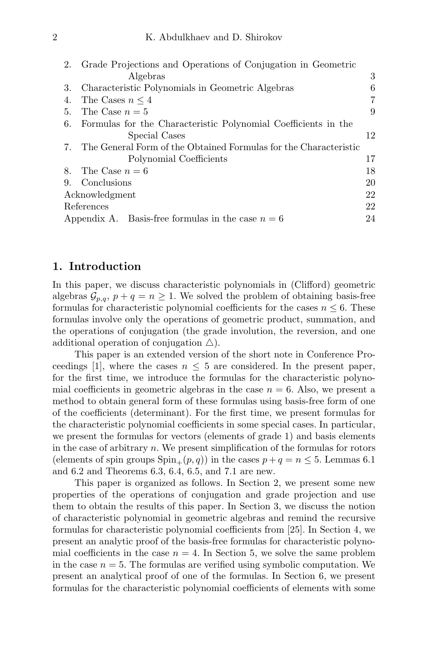| 2. | Grade Projections and Operations of Conjugation in Geometric     |    |
|----|------------------------------------------------------------------|----|
|    | Algebras                                                         | 3  |
| 3. | Characteristic Polynomials in Geometric Algebras                 | 6  |
| 4. | The Cases $n \leq 4$                                             | 7  |
| 5. | The Case $n=5$                                                   | 9  |
| 6. | Formulas for the Characteristic Polynomial Coefficients in the   |    |
|    | Special Cases                                                    | 12 |
| 7. | The General Form of the Obtained Formulas for the Characteristic |    |
|    | Polynomial Coefficients                                          | 17 |
| 8. | The Case $n=6$                                                   | 18 |
| 9. | Conclusions                                                      | 20 |
|    | Acknowledgment                                                   |    |
|    | References                                                       |    |
|    | Appendix A. Basis-free formulas in the case $n = 6$              | 24 |
|    |                                                                  |    |

#### 1. Introduction

In this paper, we discuss characteristic polynomials in (Clifford) geometric algebras  $\mathcal{G}_{p,q}, p+q=n\geq 1$ . We solved the problem of obtaining basis-free formulas for characteristic polynomial coefficients for the cases  $n \leq 6$ . These formulas involve only the operations of geometric product, summation, and the operations of conjugation (the grade involution, the reversion, and one additional operation of conjugation  $\triangle$ ).

This paper is an extended version of the short note in Conference Proceedings [1], where the cases  $n \leq 5$  are considered. In the present paper, for the first time, we introduce the formulas for the characteristic polynomial coefficients in geometric algebras in the case  $n = 6$ . Also, we present a method to obtain general form of these formulas using basis-free form of one of the coefficients (determinant). For the first time, we present formulas for the characteristic polynomial coefficients in some special cases. In particular, we present the formulas for vectors (elements of grade 1) and basis elements in the case of arbitrary  $n$ . We present simplification of the formulas for rotors (elements of spin groups  $\text{Spin}_+(p,q)$ ) in the cases  $p+q=n\leq 5$ . Lemmas 6.1 and 6.2 and Theorems 6.3, 6.4, 6.5, and 7.1 are new.

This paper is organized as follows. In Section 2, we present some new properties of the operations of conjugation and grade projection and use them to obtain the results of this paper. In Section 3, we discuss the notion of characteristic polynomial in geometric algebras and remind the recursive formulas for characteristic polynomial coefficients from [25]. In Section 4, we present an analytic proof of the basis-free formulas for characteristic polynomial coefficients in the case  $n = 4$ . In Section 5, we solve the same problem in the case  $n = 5$ . The formulas are verified using symbolic computation. We present an analytical proof of one of the formulas. In Section 6, we present formulas for the characteristic polynomial coefficients of elements with some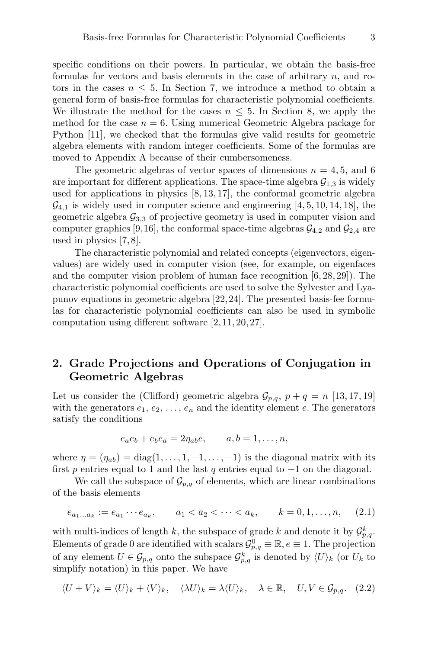specific conditions on their powers. In particular, we obtain the basis-free formulas for vectors and basis elements in the case of arbitrary  $n$ , and rotors in the cases  $n \leq 5$ . In Section 7, we introduce a method to obtain a general form of basis-free formulas for characteristic polynomial coefficients. We illustrate the method for the cases  $n \leq 5$ . In Section 8, we apply the method for the case  $n = 6$ . Using numerical Geometric Algebra package for Python [11], we checked that the formulas give valid results for geometric algebra elements with random integer coefficients. Some of the formulas are moved to Appendix A because of their cumbersomeness.

The geometric algebras of vector spaces of dimensions  $n = 4, 5$ , and 6 are important for different applications. The space-time algebra  $\mathcal{G}_{1,3}$  is widely used for applications in physics [8, 13, 17], the conformal geometric algebra  $\mathcal{G}_{4,1}$  is widely used in computer science and engineering [4, 5, 10, 14, 18], the geometric algebra  $\mathcal{G}_{3,3}$  of projective geometry is used in computer vision and computer graphics [9,16], the conformal space-time algebras  $\mathcal{G}_{4,2}$  and  $\mathcal{G}_{2,4}$  are used in physics [7, 8].

The characteristic polynomial and related concepts (eigenvectors, eigenvalues) are widely used in computer vision (see, for example, on eigenfaces and the computer vision problem of human face recognition [6, 28, 29]). The characteristic polynomial coefficients are used to solve the Sylvester and Lyapunov equations in geometric algebra [22,24]. The presented basis-fee formulas for characteristic polynomial coefficients can also be used in symbolic computation using different software [2, 11, 20, 27].

## 2. Grade Projections and Operations of Conjugation in Geometric Algebras

Let us consider the (Clifford) geometric algebra  $\mathcal{G}_{p,q}$ ,  $p + q = n$  [13, 17, 19] with the generators  $e_1, e_2, \ldots, e_n$  and the identity element e. The generators satisfy the conditions

$$
e_a e_b + e_b e_a = 2\eta_{ab} e, \qquad a, b = 1, \dots, n,
$$

where  $\eta = (\eta_{ab}) = \text{diag}(1, \ldots, 1, -1, \ldots, -1)$  is the diagonal matrix with its first p entries equal to 1 and the last q entries equal to  $-1$  on the diagonal.

We call the subspace of  $\mathcal{G}_{p,q}$  of elements, which are linear combinations of the basis elements

$$
e_{a_1...a_k} := e_{a_1} \cdots e_{a_k}, \qquad a_1 < a_2 < \cdots < a_k, \qquad k = 0, 1, \ldots, n, \tag{2.1}
$$

with multi-indices of length k, the subspace of grade k and denote it by  $\mathcal{G}_{p,q}^k$ . Elements of grade 0 are identified with scalars  $\mathcal{G}_{p,q}^0 \equiv \mathbb{R}, e \equiv 1$ . The projection of any element  $U \in \mathcal{G}_{p,q}$  onto the subspace  $\mathcal{G}_{p,q}^k$  is denoted by  $\langle U \rangle_k$  (or  $U_k$  to simplify notation) in this paper. We have

$$
\langle U+V \rangle_k = \langle U \rangle_k + \langle V \rangle_k, \quad \langle \lambda U \rangle_k = \lambda \langle U \rangle_k, \quad \lambda \in \mathbb{R}, \quad U, V \in \mathcal{G}_{p,q}.\tag{2.2}
$$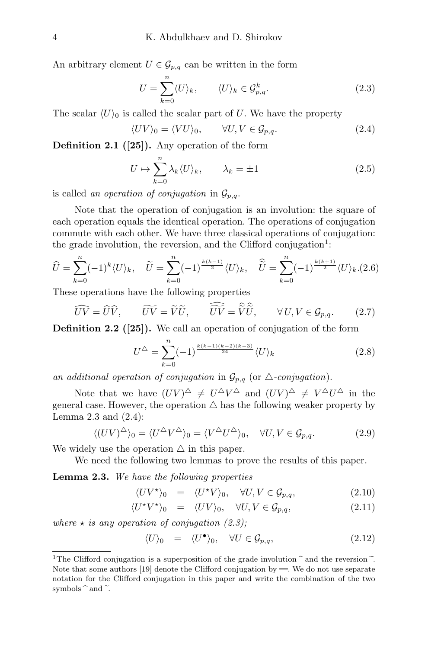An arbitrary element  $U \in \mathcal{G}_{p,q}$  can be written in the form

$$
U = \sum_{k=0}^{n} \langle U \rangle_k, \qquad \langle U \rangle_k \in \mathcal{G}_{p,q}^k.
$$
 (2.3)

The scalar  $\langle U \rangle_0$  is called the scalar part of U. We have the property

$$
\langle UV \rangle_0 = \langle VU \rangle_0, \qquad \forall U, V \in \mathcal{G}_{p,q}.
$$
 (2.4)

Definition 2.1 ([25]). Any operation of the form

$$
U \mapsto \sum_{k=0}^{n} \lambda_k \langle U \rangle_k, \qquad \lambda_k = \pm 1 \tag{2.5}
$$

is called an operation of conjugation in  $\mathcal{G}_{p,q}$ .

Note that the operation of conjugation is an involution: the square of each operation equals the identical operation. The operations of conjugation commute with each other. We have three classical operations of conjugation: the grade involution, the reversion, and the Clifford conjugation<sup>1</sup>:

$$
\widehat{U} = \sum_{k=0}^{n} (-1)^{k} \langle U \rangle_{k}, \quad \widetilde{U} = \sum_{k=0}^{n} (-1)^{\frac{k(k-1)}{2}} \langle U \rangle_{k}, \quad \widehat{\widetilde{U}} = \sum_{k=0}^{n} (-1)^{\frac{k(k+1)}{2}} \langle U \rangle_{k}. (2.6)
$$

These operations have the following properties

$$
\widehat{UV} = \widehat{U}\widehat{V}, \qquad \widetilde{UV} = \widetilde{V}\widetilde{U}, \qquad \widehat{\widetilde{UV}} = \widehat{\widetilde{V}}\widehat{\widetilde{U}}, \qquad \forall U, V \in \mathcal{G}_{p,q}.
$$
 (2.7)

Definition 2.2 ([25]). We call an operation of conjugation of the form

$$
U^{\triangle} = \sum_{k=0}^{n} (-1)^{\frac{k(k-1)(k-2)(k-3)}{24}} \langle U \rangle_k
$$
 (2.8)

an additional operation of conjugation in  $\mathcal{G}_{p,q}$  (or  $\triangle$ -conjugation).

Note that we have  $(UV)^{\triangle} \neq U^{\triangle}V^{\triangle}$  and  $(UV)^{\triangle} \neq V^{\triangle}U^{\triangle}$  in the general case. However, the operation  $\triangle$  has the following weaker property by Lemma 2.3 and  $(2.4)$ :

$$
\langle (UV)^{\triangle} \rangle_0 = \langle U^{\triangle} V^{\triangle} \rangle_0 = \langle V^{\triangle} U^{\triangle} \rangle_0, \quad \forall U, V \in \mathcal{G}_{p,q}.
$$
 (2.9)

We widely use the operation  $\triangle$  in this paper.

We need the following two lemmas to prove the results of this paper.

Lemma 2.3. We have the following properties

$$
\langle UV^{\star}\rangle_0 = \langle U^{\star}V\rangle_0, \quad \forall U, V \in \mathcal{G}_{p,q}, \tag{2.10}
$$

$$
\langle U^* V^* \rangle_0 = \langle UV \rangle_0, \quad \forall U, V \in \mathcal{G}_{p,q}, \tag{2.11}
$$

where  $\star$  is any operation of conjugation (2.3);

$$
\langle U \rangle_0 = \langle U^{\bullet} \rangle_0, \quad \forall U \in \mathcal{G}_{p,q}, \tag{2.12}
$$

<sup>&</sup>lt;sup>1</sup>The Clifford conjugation is a superposition of the grade involution  $\hat{}$  and the reversion  $\tilde{}$ . Note that some authors  $[19]$  denote the Clifford conjugation by —. We do not use separate notation for the Clifford conjugation in this paper and write the combination of the two symbols  $\hat{ }$  and  $\tilde{ }$ .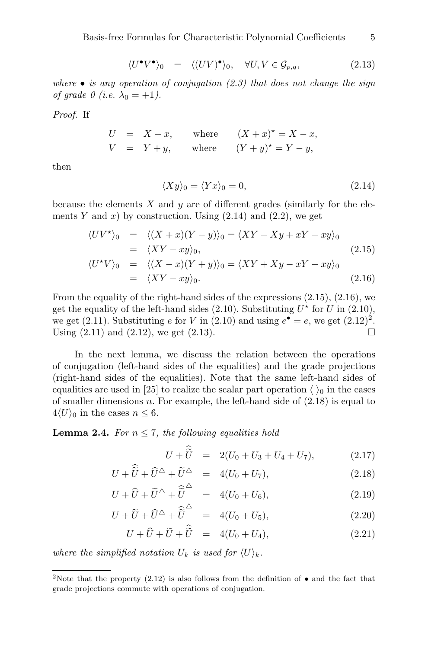$$
\langle U^{\bullet}V^{\bullet}\rangle_0 = \langle (UV)^{\bullet}\rangle_0, \quad \forall U, V \in \mathcal{G}_{p,q}, \tag{2.13}
$$

where  $\bullet$  is any operation of conjugation (2.3) that does not change the sign of grade 0 (i.e.  $\lambda_0 = +1$ ).

Proof. If

$$
U = X + x, \quad \text{where} \quad (X + x)^* = X - x,
$$
  

$$
V = Y + y, \quad \text{where} \quad (Y + y)^* = Y - y,
$$

then

$$
\langle Xy \rangle_0 = \langle Yx \rangle_0 = 0,\tag{2.14}
$$

because the elements  $X$  and  $y$  are of different grades (similarly for the elements Y and x) by construction. Using  $(2.14)$  and  $(2.2)$ , we get

$$
\langle UV^* \rangle_0 = \langle (X+x)(Y-y) \rangle_0 = \langle XY - Xy + xY - xy \rangle_0
$$
  
\n
$$
= \langle XY - xy \rangle_0,
$$
  
\n
$$
\langle U^*V \rangle_0 = \langle (X-x)(Y+y) \rangle_0 = \langle XY + Xy - xY - xy \rangle_0
$$
  
\n
$$
= \langle XY - xy \rangle_0.
$$
  
\n(2.16)

From the equality of the right-hand sides of the expressions  $(2.15)$ ,  $(2.16)$ , we get the equality of the left-hand sides  $(2.10)$ . Substituting  $U^*$  for U in  $(2.10)$ , we get (2.11). Substituting e for V in (2.10) and using  $e^{\bullet} = e$ , we get  $(2.12)^2$ . Using  $(2.11)$  and  $(2.12)$ , we get  $(2.13)$ .

In the next lemma, we discuss the relation between the operations of conjugation (left-hand sides of the equalities) and the grade projections (right-hand sides of the equalities). Note that the same left-hand sides of equalities are used in [25] to realize the scalar part operation  $\langle \ \rangle_0$  in the cases of smaller dimensions  $n$ . For example, the left-hand side of  $(2.18)$  is equal to  $4\langle U \rangle_0$  in the cases  $n \leq 6$ .

**Lemma 2.4.** For  $n \leq 7$ , the following equalities hold

$$
U + \widetilde{U} = 2(U_0 + U_3 + U_4 + U_7), \qquad (2.17)
$$

$$
U + \widetilde{U} + \widehat{U}^{\triangle} + \widetilde{U}^{\triangle} = 4(U_0 + U_7), \qquad (2.18)
$$

$$
U + \widetilde{U} + \widetilde{U}^{\triangle} + \widetilde{\widetilde{U}}^{\triangle} = 4(U_0 + U_6), \qquad (2.19)
$$

$$
U + \widetilde{U} + \widehat{U}^{\triangle} + \widehat{\widetilde{U}}^{\triangle} = 4(U_0 + U_5), \qquad (2.20)
$$

$$
U + \widehat{U} + \widetilde{U} + \widetilde{U} = 4(U_0 + U_4), \qquad (2.21)
$$

where the simplified notation  $U_k$  is used for  $\langle U \rangle_k$ .

<sup>&</sup>lt;sup>2</sup>Note that the property (2.12) is also follows from the definition of  $\bullet$  and the fact that grade projections commute with operations of conjugation.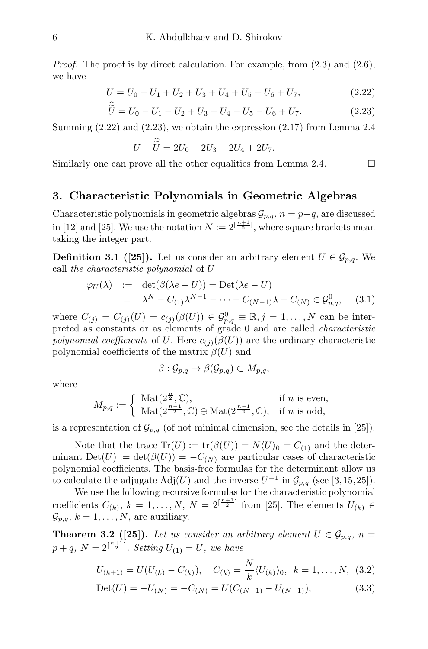*Proof.* The proof is by direct calculation. For example, from  $(2.3)$  and  $(2.6)$ , we have

$$
U = U_0 + U_1 + U_2 + U_3 + U_4 + U_5 + U_6 + U_7,
$$
\n
$$
\approx (2.22)
$$

$$
\tilde{U} = U_0 - U_1 - U_2 + U_3 + U_4 - U_5 - U_6 + U_7. \tag{2.23}
$$

Summing  $(2.22)$  and  $(2.23)$ , we obtain the expression  $(2.17)$  from Lemma 2.4

$$
U + \hat{\tilde{U}} = 2U_0 + 2U_3 + 2U_4 + 2U_7.
$$

Similarly one can prove all the other equalities from Lemma 2.4.  $\Box$ 

#### 3. Characteristic Polynomials in Geometric Algebras

Characteristic polynomials in geometric algebras  $\mathcal{G}_{p,q}$ ,  $n = p+q$ , are discussed in [12] and [25]. We use the notation  $N := 2^{\lfloor \frac{n+1}{2} \rfloor}$ , where square brackets mean taking the integer part.

**Definition 3.1** ([25]). Let us consider an arbitrary element  $U \in \mathcal{G}_{p,q}$ . We call the characteristic polynomial of U

$$
\varphi_U(\lambda) := \det(\beta(\lambda e - U)) = \text{Det}(\lambda e - U)
$$
  
=  $\lambda^N - C_{(1)}\lambda^{N-1} - \dots - C_{(N-1)}\lambda - C_{(N)} \in \mathcal{G}_{p,q}^0,$  (3.1)

where  $C_{(j)} = C_{(j)}(U) = c_{(j)}(\beta(U)) \in \mathcal{G}_{p,q}^0 \equiv \mathbb{R}, j = 1, ..., N$  can be interpreted as constants or as elements of grade 0 and are called characteristic polynomial coefficients of U. Here  $c_{(i)}(\beta(U))$  are the ordinary characteristic polynomial coefficients of the matrix  $\beta(U)$  and

$$
\beta: \mathcal{G}_{p,q} \to \beta(\mathcal{G}_{p,q}) \subset M_{p,q},
$$

where

$$
M_{p,q} := \begin{cases} \mathrm{Mat}(2^{\frac{n}{2}},\mathbb{C}), & \text{if } n \text{ is even,} \\ \mathrm{Mat}(2^{\frac{n-1}{2}},\mathbb{C}) \oplus \mathrm{Mat}(2^{\frac{n-1}{2}},\mathbb{C}), & \text{if } n \text{ is odd,} \end{cases}
$$

is a representation of  $\mathcal{G}_{p,q}$  (of not minimal dimension, see the details in [25]).

Note that the trace  $\text{Tr}(U) := \text{tr}(\beta(U)) = N\langle U \rangle_0 = C_{(1)}$  and the determinant  $Det(U) := det(\beta(U)) = -C_{(N)}$  are particular cases of characteristic polynomial coefficients. The basis-free formulas for the determinant allow us to calculate the adjugate  $\text{Adj}(U)$  and the inverse  $U^{-1}$  in  $\mathcal{G}_{p,q}$  (see [3,15,25]).

We use the following recursive formulas for the characteristic polynomial coefficients  $C_{(k)}$ ,  $k = 1, ..., N$ ,  $N = 2^{\lfloor \frac{n+1}{2} \rfloor}$  from [25]. The elements  $U_{(k)}$   $\in$  $\mathcal{G}_{p,q}, k = 1, \ldots, N$ , are auxiliary.

**Theorem 3.2** ([25]). Let us consider an arbitrary element  $U \in \mathcal{G}_{p,q}$ ,  $n =$  $p + q$ ,  $N = 2^{\left[\frac{n+1}{2}\right]}$ . Setting  $U_{(1)} = U$ , we have

$$
U_{(k+1)} = U(U_{(k)} - C_{(k)}), \quad C_{(k)} = \frac{N}{k} \langle U_{(k)} \rangle_0, \quad k = 1, ..., N, \quad (3.2)
$$

$$
Det(U) = -U_{(N)} = -C_{(N)} = U(C_{(N-1)} - U_{(N-1)}),
$$
\n(3.3)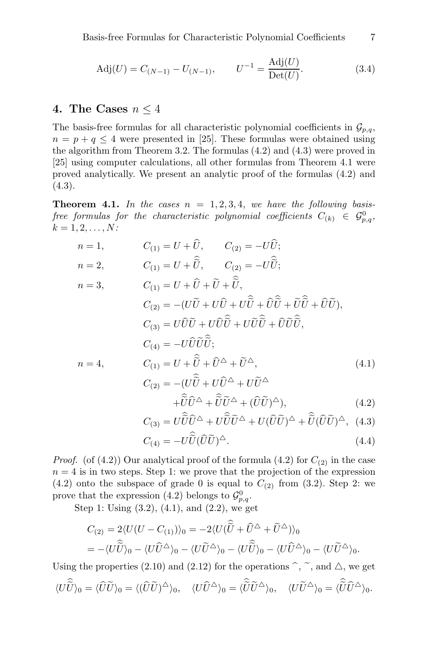$$
Adj(U) = C_{(N-1)} - U_{(N-1)}, \qquad U^{-1} = \frac{Adj(U)}{Det(U)}.
$$
 (3.4)

## 4. The Cases  $n \leq 4$

The basis-free formulas for all characteristic polynomial coefficients in  $\mathcal{G}_{p,q}$ ,  $n = p + q \leq 4$  were presented in [25]. These formulas were obtained using the algorithm from Theorem 3.2. The formulas (4.2) and (4.3) were proved in [25] using computer calculations, all other formulas from Theorem 4.1 were proved analytically. We present an analytic proof of the formulas (4.2) and  $(4.3).$ 

**Theorem 4.1.** In the cases  $n = 1, 2, 3, 4$ , we have the following basis- $\emph{free formulas for the characteristic polynomial coefficients } C_{(k)} \ \in \ \mathcal{G}^0_{p,q},$  $k = 1, 2, \ldots, N$ :

$$
n = 1, \t C_{(1)} = U + \hat{U}, \t C_{(2)} = -U\hat{U};
$$
  
\n
$$
n = 2, \t C_{(1)} = U + \hat{\tilde{U}}, \t C_{(2)} = -U\hat{\tilde{U}};
$$
  
\n
$$
n = 3, \t C_{(1)} = U + \hat{U} + \tilde{U} + \tilde{\tilde{U}},
$$
  
\n
$$
C_{(2)} = -(U\tilde{U} + U\hat{U} + U\hat{\tilde{U}} + \hat{U}\hat{\tilde{U}} + \tilde{U}\tilde{\tilde{U}} + \tilde{U}\tilde{\tilde{U}}),
$$
  
\n
$$
C_{(3)} = U\hat{U}\tilde{U} + U\hat{U}\hat{\tilde{U}} + U\tilde{U}\hat{\tilde{U}} + \hat{U}\tilde{U}\hat{\tilde{U}},
$$
  
\n
$$
C_{(4)} = -U\hat{U}\tilde{U}\tilde{\tilde{U}};
$$
  
\n
$$
n = 4, \t C_{(1)} = U + \hat{\tilde{U}} + \hat{U}^{\Delta} + \tilde{U}^{\Delta},
$$
  
\n
$$
C_{(2)} = -(U\hat{\tilde{U}} + U\hat{U}^{\Delta} + U\tilde{U}^{\Delta} + U\tilde{U}^{\Delta} + \tilde{U}\tilde{U}^{\Delta} + (\hat{U}\tilde{U})^{\Delta}),
$$
  
\n
$$
C_{(3)} = U\hat{\tilde{U}}\hat{U}^{\Delta} + U\hat{\tilde{U}}\tilde{U}^{\Delta} + U(\hat{U}\tilde{U})^{\Delta} + \hat{\tilde{U}}(\hat{U}\tilde{U})^{\Delta},
$$
  
\n
$$
C_{(4)} = U\hat{\tilde{U}}\hat{\tilde{U}}^{\Delta} + U\hat{\tilde{U}}\tilde{U}^{\Delta} + U(\hat{U}\tilde{U})^{\Delta},
$$
  
\n
$$
C_{(5)} = U\hat{\tilde{U}}\hat{\tilde{U}}^{\Delta} + U\hat{\tilde{U}}\tilde{U}^{\Delta} + U(\hat{U}\tilde{U})^{\Delta} + \hat{\tilde{U}}(\hat{U}\tilde{U})^{\Delta},
$$
<

$$
C_{(4)} = -U\widetilde{\widetilde{U}}(\widehat{U}\widetilde{U})^{\Delta}.
$$
\n(4.4)

*Proof.* (of (4.2)) Our analytical proof of the formula (4.2) for  $C_{(2)}$  in the case  $n = 4$  is in two steps. Step 1: we prove that the projection of the expression  $(4.2)$  onto the subspace of grade 0 is equal to  $C_{(2)}$  from  $(3.2)$ . Step 2: we prove that the expression (4.2) belongs to  $\mathcal{G}_{p,q}^0$ .

Step 1: Using (3.2), (4.1), and (2.2), we get

$$
C_{(2)} = 2\langle U(U - C_{(1)})\rangle_0 = -2\langle U(\hat{\widetilde{U}} + \hat{U}^{\triangle} + \widetilde{U}^{\triangle})\rangle_0
$$
  
=  $-\langle U\hat{\widetilde{U}}\rangle_0 - \langle U\hat{U}^{\triangle}\rangle_0 - \langle U\tilde{\widetilde{U}}^{\triangle}\rangle_0 - \langle U\hat{\widetilde{U}}^{\triangle}\rangle_0 - \langle U\hat{\widetilde{U}}^{\triangle}\rangle_0 - \langle U\tilde{\widetilde{U}}^{\triangle}\rangle_0.$ 

Using the properties (2.10) and (2.12) for the operations  $\hat{\ }$ ,  $\tilde{\ }$ , and  $\Delta$ , we get

$$
\langle U\widehat{\widetilde{U}}\rangle_0=\langle \widehat{U}\widetilde{U}\rangle_0=\langle (\widehat{U}\widetilde{U})^{\triangle}\rangle_0,\quad \langle U\widehat{U}^{\triangle}\rangle_0=\langle \widehat{\widetilde{U}}\widetilde{U}^{\triangle}\rangle_0,\quad \langle U\widetilde{U}^{\triangle}\rangle_0=\langle \widehat{\widetilde{U}}\widehat{U}^{\triangle}\rangle_0.
$$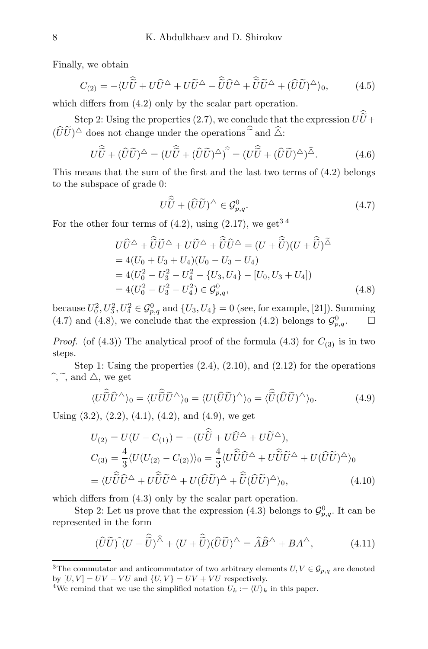Finally, we obtain

$$
C_{(2)} = -\langle U\hat{\tilde{U}} + U\hat{U}^{\triangle} + U\tilde{U}^{\triangle} + \hat{\tilde{U}}\hat{U}^{\triangle} + \hat{\tilde{U}}\tilde{U}^{\triangle} + (\hat{U}\tilde{U})^{\triangle}\rangle_0, \qquad (4.5)
$$

which differs from  $(4.2)$  only by the scalar part operation.

Step 2: Using the properties (2.7), we conclude that the expression  $UU + \overline{U}$  $(\widehat{U}\widetilde{U})^{\triangle}$  does not change under the operations  $\widehat{\sim}$  and  $\widehat{\triangle}$ :

$$
U\hat{\tilde{U}} + (\hat{U}\tilde{U})^{\hat{\Delta}} = (U\hat{\tilde{U}} + (\hat{U}\tilde{U})^{\hat{\Delta}})^{\hat{\sigma}} = (U\hat{\tilde{U}} + (\hat{U}\tilde{U})^{\hat{\Delta}})^{\hat{\Delta}}.
$$
 (4.6)

This means that the sum of the first and the last two terms of (4.2) belongs to the subspace of grade 0:

$$
U\hat{\widetilde{U}} + (\widehat{U}\widetilde{U})^{\triangle} \in \mathcal{G}_{p,q}^{0}.
$$
\n(4.7)

For the other four terms of  $(4.2)$ , using  $(2.17)$ , we get<sup>34</sup>

$$
U\hat{U}^{\triangle} + \hat{\tilde{U}}\tilde{U}^{\triangle} + U\tilde{U}^{\triangle} + \hat{\tilde{U}}\hat{U}^{\triangle} = (U + \hat{\tilde{U}})(U + \hat{\tilde{U}})^{\tilde{\triangle}}
$$
  
= 4(U<sub>0</sub> + U<sub>3</sub> + U<sub>4</sub>)(U<sub>0</sub> - U<sub>3</sub> - U<sub>4</sub>)  
= 4(U<sub>0</sub><sup>2</sup> - U<sub>3</sub><sup>2</sup> - U<sub>4</sub><sup>2</sup> - {U<sub>3</sub>, U<sub>4</sub>} - [U<sub>0</sub>, U<sub>3</sub> + U<sub>4</sub>])  
= 4(U<sub>0</sub><sup>2</sup> - U<sub>3</sub><sup>2</sup> - U<sub>4</sub><sup>2</sup>) \in \mathcal{G}\_{p,q}^{0}, (4.8)

because  $U_0^2, U_3^2, U_4^2 \in \mathcal{G}_{p,q}^0$  and  $\{U_3, U_4\} = 0$  (see, for example, [21]). Summing (4.7) and (4.8), we conclude that the expression (4.2) belongs to  $\mathcal{G}_{p,q}^0$ .  $\Box$ 

*Proof.* (of (4.3)) The analytical proof of the formula (4.3) for  $C_{(3)}$  is in two steps.

Step 1: Using the properties  $(2.4)$ ,  $(2.10)$ , and  $(2.12)$  for the operations  $\hat{\ }$ ,  $\tilde{\ }$ , and  $\triangle$ , we get

$$
\langle U\tilde{\hat{U}}\hat{U}^{\Delta}\rangle_0 = \langle U\tilde{\hat{U}}\tilde{U}^{\Delta}\rangle_0 = \langle U(\hat{U}\tilde{U})^{\Delta}\rangle_0 = \langle \hat{\hat{U}}(\hat{U}\tilde{U})^{\Delta}\rangle_0.
$$
 (4.9)

Using  $(3.2)$ ,  $(2.2)$ ,  $(4.1)$ ,  $(4.2)$ , and  $(4.9)$ , we get

$$
U_{(2)} = U(U - C_{(1)}) = -(U\hat{\tilde{U}} + U\hat{U}^{\Delta} + U\tilde{U}^{\Delta}),
$$
  
\n
$$
C_{(3)} = \frac{4}{3} \langle U(U_{(2)} - C_{(2)}) \rangle_0 = \frac{4}{3} \langle U\hat{\tilde{U}}\hat{U}^{\Delta} + U\hat{\tilde{U}}\tilde{U}^{\Delta} + U(\hat{U}\tilde{U})^{\Delta} \rangle_0
$$
  
\n
$$
= \langle U\hat{\tilde{U}}\hat{U}^{\Delta} + U\hat{\tilde{U}}\tilde{U}^{\Delta} + U(\hat{U}\tilde{U})^{\Delta} + \hat{\tilde{U}}(\hat{U}\tilde{U})^{\Delta} \rangle_0,
$$
\n(4.10)

which differs from  $(4.3)$  only by the scalar part operation.

Step 2: Let us prove that the expression (4.3) belongs to  $\mathcal{G}_{p,q}^0$ . It can be represented in the form

$$
(\widehat{U}\widetilde{U})^{\widehat{}}(U+\widehat{\widetilde{U}})^{\widehat{\Delta}}+(U+\widehat{\widetilde{U}})(\widehat{U}\widetilde{U})^{\Delta}=\widehat{A}\widehat{B}^{\Delta}+BA^{\Delta},\qquad(4.11)
$$

<sup>&</sup>lt;sup>3</sup>The commutator and anticommutator of two arbitrary elements  $U, V \in \mathcal{G}_{p,q}$  are denoted by  $[U, V] = UV - VU$  and  $\{U, V\} = UV + VU$  respectively.

<sup>&</sup>lt;sup>4</sup>We remind that we use the simplified notation  $U_k := \langle U \rangle_k$  in this paper.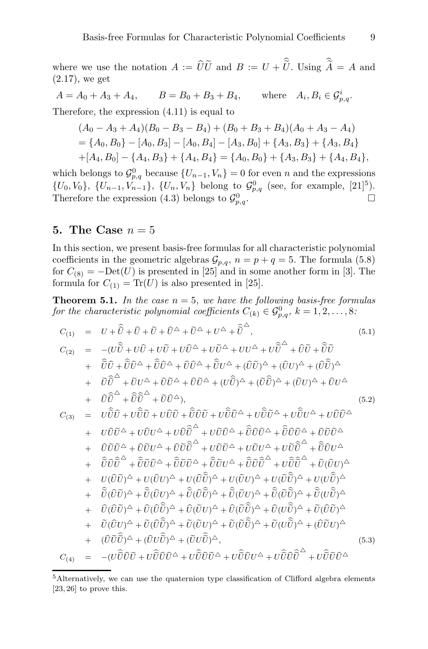where we use the notation  $A := UU$  and  $B := U + U$ . Using  $A = A$  and (2.17), we get

 $A = A_0 + A_3 + A_4,$   $B = B_0 + B_3 + B_4,$  where  $A_i, B_i \in \mathcal{G}_{p,q}^i$ . Therefore, the expression (4.11) is equal to

$$
(A0 - A3 + A4)(B0 - B3 - B4) + (B0 + B3 + B4)(A0 + A3 - A4)= {A0, B0} - [A0, B3] - [A0, B4] - [A3, B0] + {A3, B3} + {A3, B4}+ [A4, B0] - {A4, B3} + {A4, B4} = {A0, B0} + {A3, B3} + {A4, B4},
$$

which belongs to  $\mathcal{G}_{p,q}^0$  because  $\{U_{n-1}, V_n\} = 0$  for even n and the expressions  $\{U_0, V_0\}, \{U_{n-1}, V_{n-1}\}, \{U_n, V_n\}$  belong to  $\mathcal{G}_{p,q}^0$  (see, for example, [21]<sup>5</sup>). Therefore the expression (4.3) belongs to  $\mathcal{G}_{p}^{0}$  $\bigcap_{p,q}$ .

## 5. The Case  $n=5$

In this section, we present basis-free formulas for all characteristic polynomial coefficients in the geometric algebras  $\mathcal{G}_{p,q}$ ,  $n = p + q = 5$ . The formula (5.8) for  $C_{(8)} = -Det(U)$  is presented in [25] and in some another form in [3]. The formula for  $C_{(1)} = \text{Tr}(U)$  is also presented in [25].

**Theorem 5.1.** In the case  $n = 5$ , we have the following basis-free formulas for the characteristic polynomial coefficients  $C_{(k)} \in \mathcal{G}_{p,q}^0$ ,  $k = 1, 2, \ldots, 8$ .

$$
C_{(1)} = U + \hat{\tilde{U}} + \tilde{U} + \tilde{U} + \tilde{U}^{\Delta} + \tilde{U}^{\Delta} + U^{\Delta} + \tilde{\tilde{U}}^{\Delta}, \qquad (5.1)
$$
  
\n
$$
C_{(2)} = -(U\hat{\tilde{U}} + U\hat{U} + U\tilde{U} + U\tilde{U}^{\Delta} + U\tilde{U}^{\Delta} + U\tilde{U}^{\Delta} + U\tilde{U}^{\Delta} + \tilde{U}\tilde{U}^{\Delta} + \tilde{U}\tilde{U}^{\Delta} + \tilde{U}\tilde{U}^{\Delta} + \tilde{U}\tilde{U}^{\Delta} + \tilde{U}\tilde{U}^{\Delta} + \tilde{U}\tilde{U}^{\Delta} + (\tilde{U}\tilde{U})^{\Delta} + (\tilde{U}\tilde{U})^{\Delta} + \tilde{U}\tilde{U}^{\Delta} + \tilde{U}\tilde{U}^{\Delta} + \tilde{U}\tilde{U}^{\Delta} + \tilde{U}\tilde{U}^{\Delta} + \tilde{U}\tilde{U}^{\Delta} + \tilde{U}\tilde{U}^{\Delta} + \tilde{U}\tilde{U}^{\Delta} + \tilde{U}\tilde{U}^{\Delta} + \tilde{U}\tilde{U}^{\Delta} + \tilde{U}\tilde{U}^{\Delta} + \tilde{U}\tilde{U}^{\Delta} + \tilde{U}\tilde{U}\tilde{U}^{\Delta} + U\tilde{U}\tilde{U}^{\Delta} + U\tilde{U}\tilde{U}^{\Delta} + U\tilde{U}\tilde{U}^{\Delta} + U\tilde{U}\tilde{U}^{\Delta} + U\tilde{U}\tilde{U}^{\Delta} + U\tilde{U}\tilde{U}^{\Delta} + U\tilde{U}\tilde{U}^{\Delta} + U\tilde{U}\tilde{U}^{\Delta} + U\tilde{U}\tilde{U}^{\Delta} + U\tilde{U}\tilde{U}^{\Delta} + U\tilde{U}\tilde{U}^{\Delta} + U\tilde{U}\tilde{U}^{\Delta} + U\tilde{U}\tilde{U}^{\Delta} + U\tilde{U}\tilde{U}^{\Delta} + U\tilde{U}\tilde{U}^{\Delta} + U\tilde{U}\til
$$

<sup>&</sup>lt;sup>5</sup>Alternatively, we can use the quaternion type classification of Clifford algebra elements  $[23, 26]$  to prove this.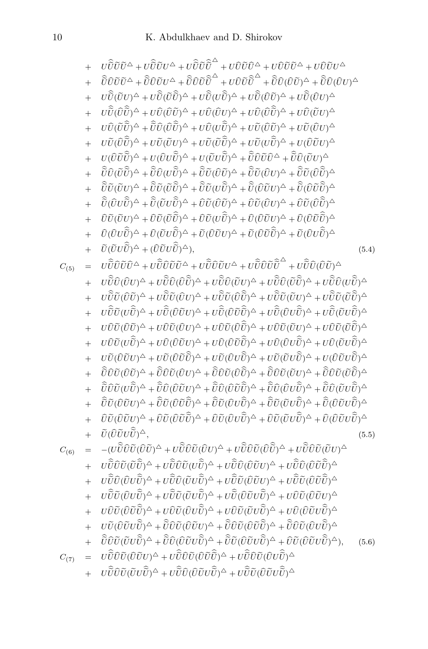$$
+ U\hat{U}\tilde{U}\tilde{U}^{\Delta} + U\hat{U}\tilde{U}\tilde{U}^{\Delta} + U\hat{U}\tilde{U}\tilde{U}^{\Delta} + U\hat{U}\tilde{U}\tilde{U}^{\Delta} + U\hat{U}\tilde{U}\tilde{U}\tilde{U}^{\Delta} + U\hat{U}\tilde{U}\tilde{U}\tilde{U}^{\Delta} + U\hat{U}\tilde{U}\tilde{U}\tilde{U}^{\Delta} + U\hat{U}\tilde{U}\tilde{U}\tilde{U}^{\Delta} + U\hat{U}\tilde{U}\tilde{U}\tilde{U}^{\Delta} + U\hat{U}\tilde{U}\tilde{U}\tilde{U}^{\Delta} + U\hat{U}\tilde{U}\tilde{U}\tilde{U}^{\Delta} + U\hat{U}\tilde{U}\tilde{U}\tilde{U}^{\Delta} + U\hat{U}\tilde{U}\tilde{U}\tilde{U}^{\Delta} + U\hat{U}\tilde{U}\tilde{U}\tilde{U}^{\Delta} + U\hat{U}\tilde{U}\tilde{U}\tilde{U}^{\Delta} + U\hat{U}\tilde{U}\tilde{U}\tilde{U}^{\Delta} + U\hat{U}\tilde{U}\tilde{U}\tilde{U}^{\Delta} + U\hat{U}\tilde{U}\tilde{U}\tilde{U}^{\Delta} + U\hat{U}\tilde{U}\tilde{U}\tilde{U}^{\Delta} + U\hat{U}\tilde{U}\tilde{U}\tilde{U}^{\Delta} + U\hat{U}\tilde{U}\tilde{U}\tilde{U}^{\Delta} + U\hat{U}\tilde{U}\tilde{U}\tilde{U}^{\Delta} + U\hat{U}\tilde{U}\tilde{U}\tilde{U}^{\Delta} + U\hat{U}\tilde{U}\tilde{U}\tilde{U}^{\Delta} + U\hat{U}\tilde{U}\tilde{U}\tilde{U}^{\Delta} + U\hat{U}\tilde{U}\tilde{U}\tilde{U}^{\Delta} + U\hat{U}\tilde{U}\tilde{U}\tilde{U}^{\Delta} + U\hat{U}\tilde{U}\tilde{U}\tilde{U}^{\Delta} + U\hat{U}\tilde{U}\tilde{U}\tilde{U}^{\Delta} + U\hat{U}\tilde{U}\tilde{U}\tilde{U}^{\Delta
$$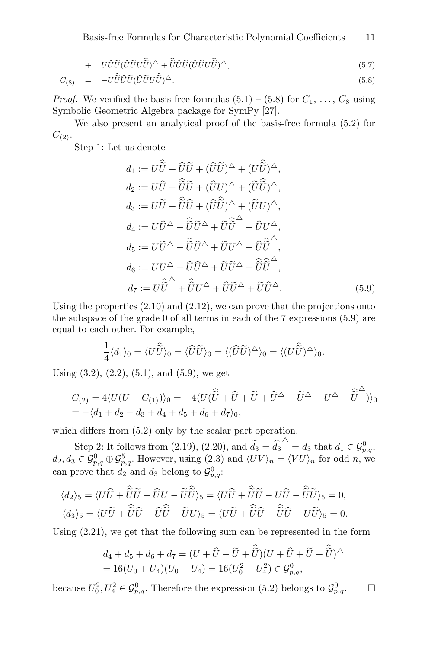Basis-free Formulas for Characteristic Polynomial Coefficients 11

+ 
$$
U\hat{U}\tilde{U}(\hat{U}\tilde{U}U\hat{\tilde{U}})^{\Delta} + \hat{\tilde{U}}\hat{U}\tilde{U}(\hat{U}\tilde{U}U\hat{\tilde{U}})^{\Delta},
$$
 (5.7)

$$
C_{(8)} = -U\hat{\tilde{U}}\hat{U}\tilde{U}(\hat{U}\tilde{U}U\hat{\tilde{U}})^{\Delta}.
$$
\n(5.8)

*Proof.* We verified the basis-free formulas  $(5.1) - (5.8)$  for  $C_1, \ldots, C_8$  using Symbolic Geometric Algebra package for SymPy [27].

We also present an analytical proof of the basis-free formula (5.2) for  $C_{(2)}$ .

Step 1: Let us denote

$$
d_1 := U\widetilde{U} + \widehat{U}\widetilde{U} + (\widehat{U}\widetilde{U})^{\Delta} + (U\widetilde{U})^{\Delta},
$$
  
\n
$$
d_2 := U\widehat{U} + \widehat{\widetilde{U}}\widetilde{U} + (\widehat{U}U)^{\Delta} + (\widetilde{U}\widehat{\widetilde{U}})^{\Delta},
$$
  
\n
$$
d_3 := U\widetilde{U} + \widehat{\widetilde{U}}\widehat{U} + (\widehat{U}\widehat{\widetilde{U}})^{\Delta} + (\widetilde{U}U)^{\Delta},
$$
  
\n
$$
d_4 := U\widehat{U}^{\Delta} + \widehat{\widetilde{U}}\widetilde{U}^{\Delta} + \widetilde{U}\widetilde{\widetilde{U}}^{\Delta} + \widehat{U}U^{\Delta},
$$
  
\n
$$
d_5 := U\widetilde{U}^{\Delta} + \widehat{\widetilde{U}}\widehat{U}^{\Delta} + \widetilde{U}U^{\Delta} + \widehat{U}\widehat{\widetilde{U}}^{\Delta},
$$
  
\n
$$
d_6 := UU^{\Delta} + \widehat{U}\widehat{U}^{\Delta} + \widetilde{U}\widetilde{U}^{\Delta} + \widehat{\widetilde{U}}\widetilde{\widetilde{U}}^{\Delta},
$$
  
\n
$$
d_7 := U\widehat{\widetilde{U}}^{\Delta} + \widehat{\widetilde{U}}U^{\Delta} + \widehat{U}\widetilde{U}^{\Delta} + \widetilde{U}\widehat{\widetilde{U}}^{\Delta}.
$$
  
\n(5.9)

Using the properties  $(2.10)$  and  $(2.12)$ , we can prove that the projections onto the subspace of the grade 0 of all terms in each of the 7 expressions (5.9) are equal to each other. For example,

$$
\frac{1}{4}\langle d_1\rangle_0 = \langle U\hat{\widetilde{U}}\rangle_0 = \langle \hat{U}\widetilde{U}\rangle_0 = \langle (\hat{U}\widetilde{U})^{\triangle}\rangle_0 = \langle (U\hat{\widetilde{U}})^{\triangle}\rangle_0.
$$

Using  $(3.2)$ ,  $(2.2)$ ,  $(5.1)$ , and  $(5.9)$ , we get

$$
C_{(2)} = 4\langle U(U - C_{(1)})\rangle_0 = -4\langle U(\hat{\tilde{U}} + \hat{U} + \tilde{U} + \tilde{U}^{\triangle} + \tilde{U}^{\triangle} + U^{\triangle} + \tilde{\tilde{U}}^{\triangle})\rangle_0
$$
  
= -\langle d\_1 + d\_2 + d\_3 + d\_4 + d\_5 + d\_6 + d\_7\rangle\_0,

which differs from (5.2) only by the scalar part operation.

Step 2: It follows from (2.19), (2.20), and  $\tilde{d}_3 = \hat{d}_3^{\triangle} = d_3$  that  $d_1 \in \mathcal{G}_{p,q}^0$ ,  $d_2, d_3 \in \mathcal{G}_{p,q}^0 \oplus \mathcal{G}_{p,q}^5$ . However, using (2.3) and  $\langle UV \rangle_n = \langle VU \rangle_n$  for odd n, we can prove that  $d_2$  and  $d_3$  belong to  $\mathcal{G}_{p,q}^0$ :

$$
\langle d_2 \rangle_5 = \langle U\hat{U} + \hat{\tilde{U}}\tilde{U} - \hat{U}U - \tilde{U}\hat{\tilde{U}} \rangle_5 = \langle U\hat{U} + \hat{\tilde{U}}\tilde{U} - U\hat{U} - \hat{\tilde{U}}\tilde{U} \rangle_5 = 0,
$$
  

$$
\langle d_3 \rangle_5 = \langle U\tilde{U} + \hat{\tilde{U}}\hat{U} - \hat{U}\hat{\tilde{U}} - \tilde{U}U \rangle_5 = \langle U\tilde{U} + \hat{\tilde{U}}\hat{U} - \hat{\tilde{U}}\hat{U} - U\tilde{U} \rangle_5 = 0.
$$

Using (2.21), we get that the following sum can be represented in the form

$$
d_4 + d_5 + d_6 + d_7 = (U + \hat{U} + \tilde{U} + \tilde{\hat{U}})(U + \hat{U} + \tilde{U} + \tilde{\hat{U}})^{\Delta}
$$
  
= 16(U<sub>0</sub> + U<sub>4</sub>)(U<sub>0</sub> - U<sub>4</sub>) = 16(U<sub>0</sub><sup>2</sup> - U<sub>4</sub><sup>2</sup>) ∈  $\mathcal{G}_{p,q}^0$ ,

because  $U_0^2, U_4^2 \in \mathcal{G}_{p,q}^0$ . Therefore the expression (5.2) belongs to  $\mathcal{G}_{p,q}^0$ .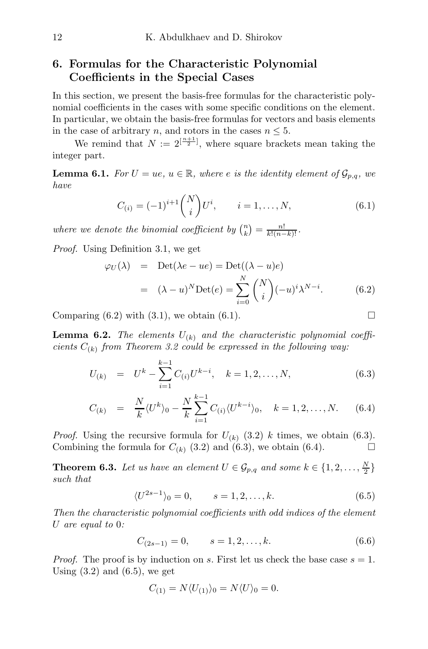## 6. Formulas for the Characteristic Polynomial Coefficients in the Special Cases

In this section, we present the basis-free formulas for the characteristic polynomial coefficients in the cases with some specific conditions on the element. In particular, we obtain the basis-free formulas for vectors and basis elements in the case of arbitrary n, and rotors in the cases  $n \leq 5$ .

We remind that  $N := 2^{\lfloor \frac{n+1}{2} \rfloor}$ , where square brackets mean taking the integer part.

**Lemma 6.1.** For  $U = ue, u \in \mathbb{R}$ , where e is the identity element of  $\mathcal{G}_{p,q}$ , we have

$$
C_{(i)} = (-1)^{i+1} {N \choose i} U^i, \qquad i = 1, ..., N,
$$
\n(6.1)

where we denote the binomial coefficient by  $\binom{n}{k} = \frac{n!}{k!(n-k)!}$ .

Proof. Using Definition 3.1, we get

$$
\varphi_U(\lambda) = \text{Det}(\lambda e - ue) = \text{Det}((\lambda - u)e)
$$

$$
= (\lambda - u)^N \text{Det}(e) = \sum_{i=0}^N {N \choose i} (-u)^i \lambda^{N-i}.
$$
(6.2)

Comparing  $(6.2)$  with  $(3.1)$ , we obtain  $(6.1)$ .

**Lemma 6.2.** The elements  $U_{(k)}$  and the characteristic polynomial coefficients  $C_{(k)}$  from Theorem 3.2 could be expressed in the following way.

$$
U_{(k)} = U^k - \sum_{i=1}^{k-1} C_{(i)} U^{k-i}, \quad k = 1, 2, ..., N,
$$
\n(6.3)

$$
C_{(k)} = \frac{N}{k} \langle U^k \rangle_0 - \frac{N}{k} \sum_{i=1}^{k-1} C_{(i)} \langle U^{k-i} \rangle_0, \quad k = 1, 2, ..., N. \tag{6.4}
$$

*Proof.* Using the recursive formula for  $U_{(k)}$  (3.2) k times, we obtain (6.3). Combining the formula for  $C_{(k)}$  (3.2) and (6.3), we obtain (6.4).

**Theorem 6.3.** Let us have an element  $U \in \mathcal{G}_{p,q}$  and some  $k \in \{1,2,\ldots,\frac{N}{2}\}\$ such that

$$
\langle U^{2s-1} \rangle_0 = 0, \qquad s = 1, 2, \dots, k. \tag{6.5}
$$

Then the characteristic polynomial coefficients with odd indices of the element U are equal to 0:

$$
C_{(2s-1)} = 0, \qquad s = 1, 2, \dots, k. \tag{6.6}
$$

*Proof.* The proof is by induction on s. First let us check the base case  $s = 1$ . Using  $(3.2)$  and  $(6.5)$ , we get

$$
C_{(1)} = N \langle U_{(1)} \rangle_0 = N \langle U \rangle_0 = 0.
$$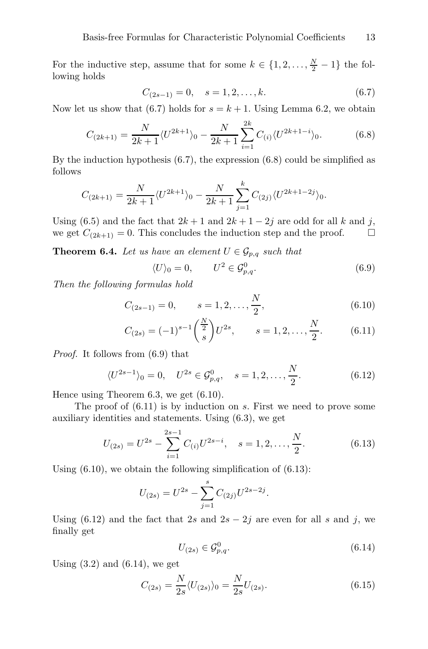For the inductive step, assume that for some  $k \in \{1, 2, ..., \frac{N}{2} - 1\}$  the following holds

$$
C_{(2s-1)} = 0, \quad s = 1, 2, \dots, k. \tag{6.7}
$$

Now let us show that (6.7) holds for  $s = k + 1$ . Using Lemma 6.2, we obtain

$$
C_{(2k+1)} = \frac{N}{2k+1} \langle U^{2k+1} \rangle_0 - \frac{N}{2k+1} \sum_{i=1}^{2k} C_{(i)} \langle U^{2k+1-i} \rangle_0.
$$
 (6.8)

By the induction hypothesis (6.7), the expression (6.8) could be simplified as follows

$$
C_{(2k+1)} = \frac{N}{2k+1} \langle U^{2k+1} \rangle_0 - \frac{N}{2k+1} \sum_{j=1}^k C_{(2j)} \langle U^{2k+1-2j} \rangle_0.
$$

Using (6.5) and the fact that  $2k + 1$  and  $2k + 1 - 2j$  are odd for all k and j, we get  $C_{(2k+1)} = 0$ . This concludes the induction step and the proof.  $\Box$ 

**Theorem 6.4.** Let us have an element  $U \in \mathcal{G}_{p,q}$  such that

$$
\langle U \rangle_0 = 0, \qquad U^2 \in \mathcal{G}^0_{p,q}.\tag{6.9}
$$

Then the following formulas hold

$$
C_{(2s-1)} = 0, \qquad s = 1, 2, \dots, \frac{N}{2}, \tag{6.10}
$$

$$
C_{(2s)} = (-1)^{s-1} \left(\frac{\frac{N}{2}}{s}\right) U^{2s}, \qquad s = 1, 2, \dots, \frac{N}{2}.
$$
 (6.11)

Proof. It follows from (6.9) that

$$
\langle U^{2s-1} \rangle_0 = 0, \quad U^{2s} \in \mathcal{G}_{p,q}^0, \quad s = 1, 2, \dots, \frac{N}{2}.
$$
 (6.12)

Hence using Theorem 6.3, we get (6.10).

The proof of  $(6.11)$  is by induction on s. First we need to prove some auxiliary identities and statements. Using (6.3), we get

$$
U_{(2s)} = U^{2s} - \sum_{i=1}^{2s-1} C_{(i)} U^{2s-i}, \quad s = 1, 2, \dots, \frac{N}{2}.
$$
 (6.13)

Using  $(6.10)$ , we obtain the following simplification of  $(6.13)$ :

$$
U_{(2s)} = U^{2s} - \sum_{j=1}^{s} C_{(2j)} U^{2s-2j}.
$$

Using (6.12) and the fact that 2s and  $2s - 2j$  are even for all s and j, we finally get

$$
U_{(2s)} \in \mathcal{G}_{p,q}^0. \tag{6.14}
$$

Using  $(3.2)$  and  $(6.14)$ , we get

$$
C_{(2s)} = \frac{N}{2s} \langle U_{(2s)} \rangle_0 = \frac{N}{2s} U_{(2s)}.
$$
\n(6.15)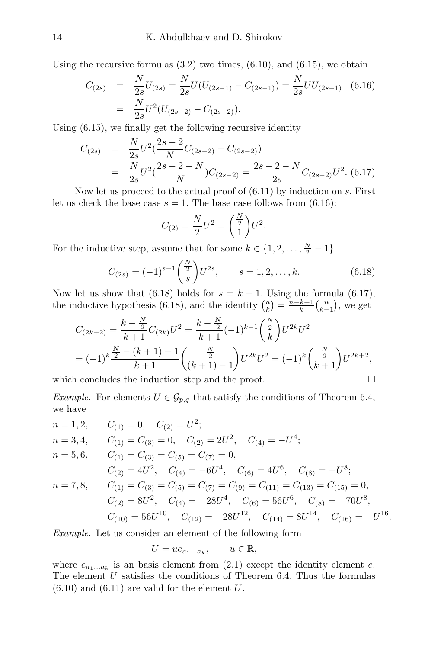Using the recursive formulas  $(3.2)$  two times,  $(6.10)$ , and  $(6.15)$ , we obtain

$$
C_{(2s)} = \frac{N}{2s}U_{(2s)} = \frac{N}{2s}U(U_{(2s-1)} - C_{(2s-1)}) = \frac{N}{2s}UU_{(2s-1)}
$$
(6.16)  
= 
$$
\frac{N}{2s}U^2(U_{(2s-2)} - C_{(2s-2)}).
$$

Using (6.15), we finally get the following recursive identity

$$
C_{(2s)} = \frac{N}{2s} U^2 \left(\frac{2s-2}{N} C_{(2s-2)} - C_{(2s-2)}\right)
$$
  
= 
$$
\frac{N}{2s} U^2 \left(\frac{2s-2-N}{N}\right) C_{(2s-2)} = \frac{2s-2-N}{2s} C_{(2s-2)} U^2.
$$
 (6.17)

Now let us proceed to the actual proof of  $(6.11)$  by induction on s. First let us check the base case  $s = 1$ . The base case follows from (6.16):

$$
C_{(2)} = \frac{N}{2}U^2 = \left(\frac{\frac{N}{2}}{1}\right)U^2.
$$

For the inductive step, assume that for some  $k \in \{1, 2, ..., \frac{N}{2} - 1\}$ 

$$
C_{(2s)} = (-1)^{s-1} \binom{\frac{N}{2}}{s} U^{2s}, \qquad s = 1, 2, \dots, k. \tag{6.18}
$$

Now let us show that (6.18) holds for  $s = k + 1$ . Using the formula (6.17), the inductive hypothesis (6.18), and the identity  $\binom{n}{k} = \frac{n-k+1}{k} \binom{n}{k-1}$ , we get

$$
C_{(2k+2)} = \frac{k - \frac{N}{2}}{k+1} C_{(2k)} U^2 = \frac{k - \frac{N}{2}}{k+1} (-1)^{k-1} \binom{\frac{N}{2}}{k} U^{2k} U^2
$$
  
=  $(-1)^k \frac{\frac{N}{2} - (k+1) + 1}{k+1} \binom{\frac{N}{2}}{(k+1) - 1} U^{2k} U^2 = (-1)^k \binom{\frac{N}{2}}{k+1} U^{2k+2},$ 

which concludes the induction step and the proof.  $\Box$ 

Example. For elements  $U \in \mathcal{G}_{p,q}$  that satisfy the conditions of Theorem 6.4, we have

$$
n = 1, 2, \t C_{(1)} = 0, \t C_{(2)} = U^2; \n n = 3, 4, \t C_{(1)} = C_{(3)} = 0, \t C_{(2)} = 2U^2, \t C_{(4)} = -U^4; \n n = 5, 6, \t C_{(1)} = C_{(3)} = C_{(5)} = C_{(7)} = 0, \n C_{(2)} = 4U^2, \t C_{(4)} = -6U^4, \t C_{(6)} = 4U^6, \t C_{(8)} = -U^8; \n n = 7, 8, \t C_{(1)} = C_{(3)} = C_{(5)} = C_{(7)} = C_{(9)} = C_{(11)} = C_{(13)} = C_{(15)} = 0, \n C_{(2)} = 8U^2, \t C_{(4)} = -28U^4, \t C_{(6)} = 56U^6, \t C_{(8)} = -70U^8, \n C_{(10)} = 56U^{10}, \t C_{(12)} = -28U^{12}, \t C_{(14)} = 8U^{14}, \t C_{(16)} = -U^{16}.
$$

Example. Let us consider an element of the following form

$$
U = u e_{a_1...a_k}, \qquad u \in \mathbb{R},
$$

where  $e_{a_1...a_k}$  is an basis element from (2.1) except the identity element e. The element  $U$  satisfies the conditions of Theorem 6.4. Thus the formulas  $(6.10)$  and  $(6.11)$  are valid for the element U.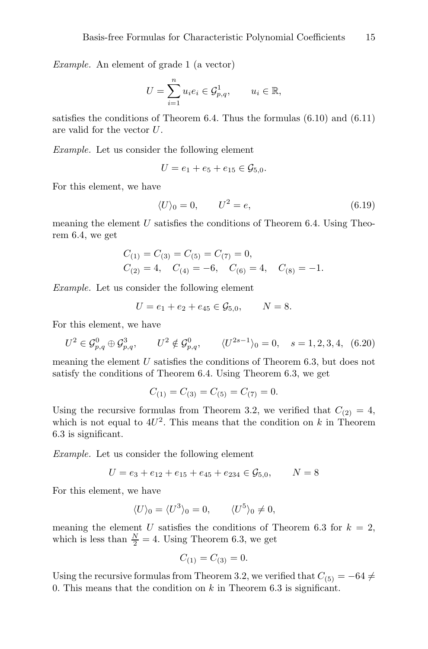Example. An element of grade 1 (a vector)

$$
U = \sum_{i=1}^{n} u_i e_i \in \mathcal{G}_{p,q}^1, \qquad u_i \in \mathbb{R},
$$

satisfies the conditions of Theorem 6.4. Thus the formulas (6.10) and (6.11) are valid for the vector U.

Example. Let us consider the following element

$$
U = e_1 + e_5 + e_{15} \in \mathcal{G}_{5,0}.
$$

For this element, we have

$$
\langle U \rangle_0 = 0, \qquad U^2 = e,\tag{6.19}
$$

meaning the element  $U$  satisfies the conditions of Theorem 6.4. Using Theorem 6.4, we get

$$
C_{(1)} = C_{(3)} = C_{(5)} = C_{(7)} = 0,
$$
  
\n $C_{(2)} = 4, \quad C_{(4)} = -6, \quad C_{(6)} = 4, \quad C_{(8)} = -1.$ 

Example. Let us consider the following element

$$
U = e_1 + e_2 + e_{45} \in \mathcal{G}_{5,0}, \qquad N = 8.
$$

For this element, we have

$$
U^2 \in \mathcal{G}_{p,q}^0 \oplus \mathcal{G}_{p,q}^3, \qquad U^2 \notin \mathcal{G}_{p,q}^0, \qquad \langle U^{2s-1} \rangle_0 = 0, \quad s = 1,2,3,4, \tag{6.20}
$$

meaning the element  $U$  satisfies the conditions of Theorem 6.3, but does not satisfy the conditions of Theorem 6.4. Using Theorem 6.3, we get

$$
C_{(1)} = C_{(3)} = C_{(5)} = C_{(7)} = 0.
$$

Using the recursive formulas from Theorem 3.2, we verified that  $C_{(2)} = 4$ , which is not equal to  $4U^2$ . This means that the condition on k in Theorem 6.3 is significant.

Example. Let us consider the following element

$$
U = e_3 + e_{12} + e_{15} + e_{45} + e_{234} \in \mathcal{G}_{5,0}, \qquad N = 8
$$

For this element, we have

$$
\langle U \rangle_0 = \langle U^3 \rangle_0 = 0, \qquad \langle U^5 \rangle_0 \neq 0,
$$

meaning the element U satisfies the conditions of Theorem 6.3 for  $k = 2$ , which is less than  $\frac{N}{2} = 4$ . Using Theorem 6.3, we get

$$
C_{(1)} = C_{(3)} = 0.
$$

Using the recursive formulas from Theorem 3.2, we verified that  $C_{(5)} = -64 \neq$ 0. This means that the condition on  $k$  in Theorem 6.3 is significant.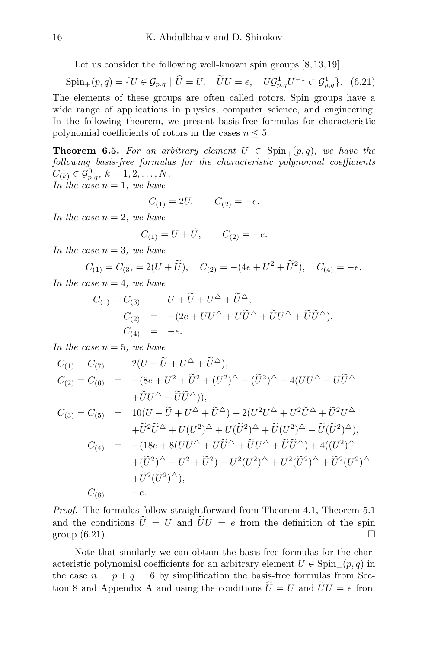Let us consider the following well-known spin groups  $[8, 13, 19]$ 

 $\text{Spin}_+(p,q) = \{ U \in \mathcal{G}_{p,q} \mid \hat{U} = U, \quad \tilde{U}U = e, \quad U\mathcal{G}_{p,q}^1U^{-1} \subset \mathcal{G}_{p,q}^1 \}.$  (6.21) The elements of these groups are often called rotors. Spin groups have a wide range of applications in physics, computer science, and engineering. In the following theorem, we present basis-free formulas for characteristic polynomial coefficients of rotors in the cases  $n \leq 5$ .

**Theorem 6.5.** For an arbitrary element  $U \in Spin_+(p,q)$ , we have the following basis-free formulas for the characteristic polynomial coefficients  $C_{(k)} \in \mathcal{G}_{p,q}^0, k = 1, 2, \ldots, N.$ In the case  $n = 1$ , we have

$$
C_{(1)} = 2U, \qquad C_{(2)} = -e.
$$

In the case  $n = 2$ , we have

$$
C_{(1)} = U + \tilde{U}, \qquad C_{(2)} = -e.
$$

In the case  $n = 3$ , we have

$$
C_{(1)} = C_{(3)} = 2(U + \tilde{U}),
$$
  $C_{(2)} = -(4e + U^2 + \tilde{U}^2),$   $C_{(4)} = -e.$ 

In the case  $n = 4$ , we have

$$
C_{(1)} = C_{(3)} = U + \widetilde{U} + U^{\Delta} + \widetilde{U}^{\Delta},
$$
  
\n
$$
C_{(2)} = -(2e + UU^{\Delta} + U\widetilde{U}^{\Delta} + \widetilde{U}U^{\Delta} + \widetilde{U}\widetilde{U}^{\Delta}),
$$
  
\n
$$
C_{(4)} = -e.
$$

In the case  $n = 5$ , we have

$$
C_{(1)} = C_{(7)} = 2(U + \tilde{U} + U^{\Delta} + \tilde{U}^{\Delta}),
$$
  
\n
$$
C_{(2)} = C_{(6)} = -(8e + U^2 + \tilde{U}^2 + (U^2)^{\Delta} + (\tilde{U}^2)^{\Delta} + 4(UU^{\Delta} + U\tilde{U}^{\Delta} + \tilde{U}U^{\Delta} + \tilde{U}U^{\Delta} + \tilde{U}\tilde{U}^{\Delta})),
$$
  
\n
$$
C_{(3)} = C_{(5)} = 10(U + \tilde{U} + U^{\Delta} + \tilde{U}^{\Delta}) + 2(U^2U^{\Delta} + U^2\tilde{U}^{\Delta} + \tilde{U}^2U^{\Delta} + \tilde{U}^2\tilde{U}^{\Delta} + U(U^2)^{\Delta} + U(\tilde{U}^2)^{\Delta} + \tilde{U}(U^2)^{\Delta} + \tilde{U}(\tilde{U}^2)^{\Delta}),
$$
  
\n
$$
C_{(4)} = -(18e + 8(UU^{\Delta} + U\tilde{U}^{\Delta} + \tilde{U}U^{\Delta} + \tilde{U}\tilde{U}^{\Delta}) + 4((U^2)^{\Delta} + (\tilde{U}^2)^{\Delta} + U^2(\tilde{U}^2)^{\Delta} + U^2(\tilde{U}^2)^{\Delta}),
$$
  
\n
$$
+ \tilde{U}^2(\tilde{U}^2)^{\Delta}),
$$

$$
C_{(8)} = -e.
$$

Proof. The formulas follow straightforward from Theorem 4.1, Theorem 5.1 and the conditions  $\hat{U} = U$  and  $\tilde{U}U = e$  from the definition of the spin group (6.21). group (6.21).

Note that similarly we can obtain the basis-free formulas for the characteristic polynomial coefficients for an arbitrary element  $U \in \text{Spin}_{+}(p,q)$  in the case  $n = p + q = 6$  by simplification the basis-free formulas from Section 8 and Appendix A and using the conditions  $\hat{U} = U$  and  $\hat{U}U = e$  from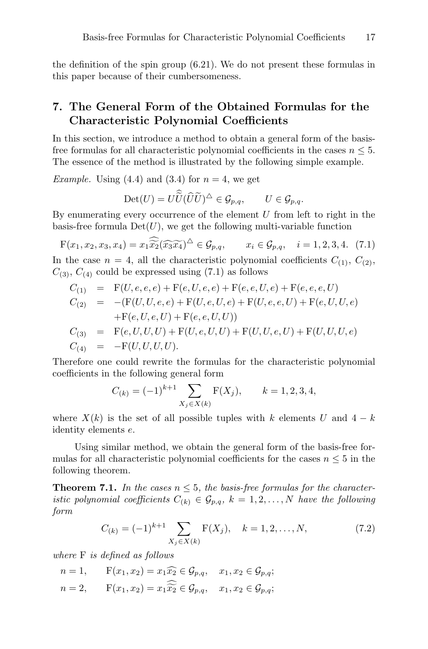the definition of the spin group (6.21). We do not present these formulas in this paper because of their cumbersomeness.

## 7. The General Form of the Obtained Formulas for the Characteristic Polynomial Coefficients

In this section, we introduce a method to obtain a general form of the basisfree formulas for all characteristic polynomial coefficients in the cases  $n \leq 5$ . The essence of the method is illustrated by the following simple example.

*Example.* Using (4.4) and (3.4) for  $n = 4$ , we get

$$
\mathrm{Det}(U) = U\widetilde{U}(\widehat{U}\widetilde{U})^{\triangle} \in \mathcal{G}_{p,q}, \qquad U \in \mathcal{G}_{p,q}.
$$

By enumerating every occurrence of the element  $U$  from left to right in the basis-free formula  $Det(U)$ , we get the following multi-variable function

$$
F(x_1, x_2, x_3, x_4) = x_1 \widetilde{x_2} (\widetilde{x_3 x_4})^{\triangle} \in \mathcal{G}_{p,q}, \qquad x_i \in \mathcal{G}_{p,q}, \quad i = 1, 2, 3, 4. \tag{7.1}
$$

In the case  $n = 4$ , all the characteristic polynomial coefficients  $C_{(1)}$ ,  $C_{(2)}$ ,  $C_{(3)}$ ,  $C_{(4)}$  could be expressed using (7.1) as follows

$$
C_{(1)} = F(U, e, e, e) + F(e, U, e, e) + F(e, e, U, e) + F(e, e, e, U)
$$
  
\n
$$
C_{(2)} = -(F(U, U, e, e) + F(U, e, U, e) + F(U, e, e, U) + F(e, U, U, e)
$$
  
\n
$$
+ F(e, U, e, U) + F(e, e, U, U)
$$
  
\n
$$
C_{(3)} = F(e, U, U, U) + F(U, e, U, U) + F(U, U, e, U) + F(U, U, U, e)
$$
  
\n
$$
C_{(4)} = -F(U, U, U, U).
$$

Therefore one could rewrite the formulas for the characteristic polynomial coefficients in the following general form

$$
C_{(k)} = (-1)^{k+1} \sum_{X_j \in X(k)} \mathcal{F}(X_j), \qquad k = 1, 2, 3, 4,
$$

where  $X(k)$  is the set of all possible tuples with k elements U and  $4 - k$ identity elements e.

Using similar method, we obtain the general form of the basis-free formulas for all characteristic polynomial coefficients for the cases  $n \leq 5$  in the following theorem.

**Theorem 7.1.** In the cases  $n \leq 5$ , the basis-free formulas for the characteristic polynomial coefficients  $C_{(k)} \in \mathcal{G}_{p,q}$ ,  $k = 1, 2, ..., N$  have the following form

$$
C_{(k)} = (-1)^{k+1} \sum_{X_j \in X(k)} \mathcal{F}(X_j), \quad k = 1, 2, \dots, N,
$$
 (7.2)

where F is defined as follows

$$
n=1, \qquad \mathbf{F}(x_1, x_2) = x_1 \widehat{x_2} \in \mathcal{G}_{p,q}, \quad x_1, x_2 \in \mathcal{G}_{p,q};
$$

 $n = 2, \quad \mathbf{F}(x_1, x_2) = x_1 \widetilde{x_2} \in \mathcal{G}_{p,q}, \quad x_1, x_2 \in \mathcal{G}_{p,q};$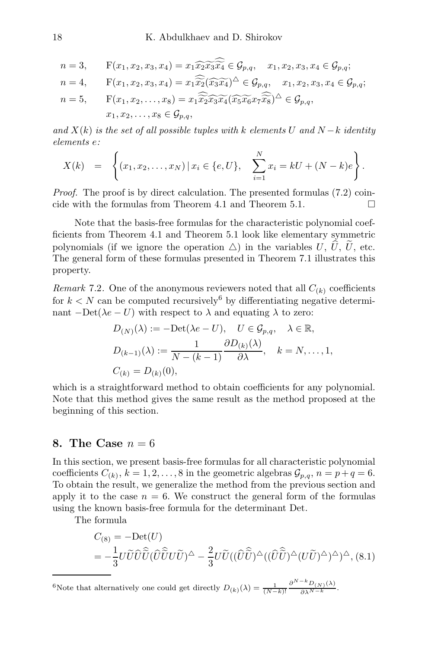$$
n = 3, \tF(x_1, x_2, x_3, x_4) = x_1 \widehat{x_2 x_3 x_4} \in \mathcal{G}_{p,q}, \t x_1, x_2, x_3, x_4 \in \mathcal{G}_{p,q};
$$
  
\n
$$
n = 4, \tF(x_1, x_2, x_3, x_4) = x_1 \widehat{x_2} (\widehat{x_3 x_4})^{\triangle} \in \mathcal{G}_{p,q}, \t x_1, x_2, x_3, x_4 \in \mathcal{G}_{p,q};
$$
  
\n
$$
n = 5, \tF(x_1, x_2, \ldots, x_8) = x_1 \widehat{x_2} \widehat{x_3} \widehat{x_4} (\widehat{x_5} \widehat{x_6} x_7 \widehat{x_8})^{\triangle} \in \mathcal{G}_{p,q},
$$
  
\n
$$
x_1, x_2, \ldots, x_8 \in \mathcal{G}_{p,q},
$$

and  $X(k)$  is the set of all possible tuples with k elements U and  $N-k$  identity elements e:

$$
X(k) = \left\{ (x_1, x_2, \dots, x_N) \, | \, x_i \in \{e, U\}, \sum_{i=1}^N x_i = kU + (N - k)e \right\}.
$$

Proof. The proof is by direct calculation. The presented formulas (7.2) coincide with the formulas from Theorem 4.1 and Theorem 5.1.  $\Box$ 

Note that the basis-free formulas for the characteristic polynomial coefficients from Theorem 4.1 and Theorem 5.1 look like elementary symmetric polynomials (if we ignore the operation  $\triangle$ ) in the variables U,  $\hat{U}$ ,  $\hat{U}$ , etc. The general form of these formulas presented in Theorem 7.1 illustrates this property.

Remark 7.2. One of the anonymous reviewers noted that all  $C_{(k)}$  coefficients for  $k < N$  can be computed recursively<sup>6</sup> by differentiating negative determinant  $-\text{Det}(\lambda e - U)$  with respect to  $\lambda$  and equating  $\lambda$  to zero:

$$
D_{(N)}(\lambda) := -\text{Det}(\lambda e - U), \quad U \in \mathcal{G}_{p,q}, \quad \lambda \in \mathbb{R},
$$
  

$$
D_{(k-1)}(\lambda) := \frac{1}{N - (k-1)} \frac{\partial D_{(k)}(\lambda)}{\partial \lambda}, \quad k = N, \dots, 1,
$$
  

$$
C_{(k)} = D_{(k)}(0),
$$

which is a straightforward method to obtain coefficients for any polynomial. Note that this method gives the same result as the method proposed at the beginning of this section.

#### 8. The Case  $n = 6$

In this section, we present basis-free formulas for all characteristic polynomial coefficients  $C_{(k)}$ ,  $k = 1, 2, ..., 8$  in the geometric algebras  $\mathcal{G}_{p,q}$ ,  $n = p+q = 6$ . To obtain the result, we generalize the method from the previous section and apply it to the case  $n = 6$ . We construct the general form of the formulas using the known basis-free formula for the determinant Det.

The formula

$$
C_{(8)} = -\text{Det}(U)
$$
  
=  $-\frac{1}{3}U\tilde{U}\hat{U}\hat{\tilde{U}}(\hat{U}\tilde{\tilde{U}}U\tilde{U})^{\Delta} - \frac{2}{3}U\tilde{U}((\hat{U}\hat{\tilde{U}})^{\Delta}((\hat{U}\hat{\tilde{U}})^{\Delta}(U\tilde{U})^{\Delta})^{\Delta})^{\Delta}, (8.1)$ 

<sup>6</sup>Note that alternatively one could get directly  $D_{(k)}(\lambda) = \frac{1}{(N-k)!} \frac{\partial^{N-k} D_{(N)}(\lambda)}{\partial \lambda^{N-k}}$ .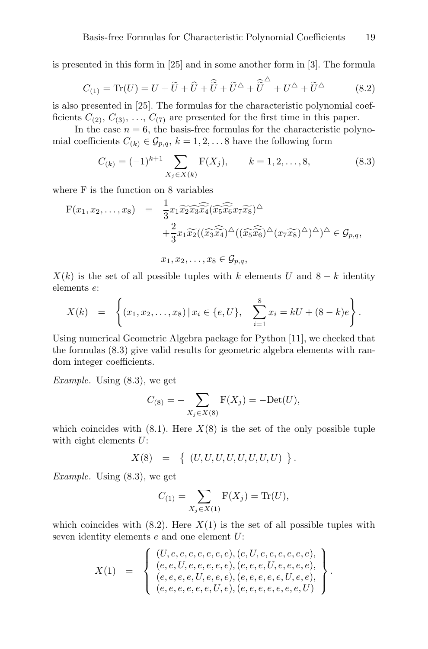is presented in this form in [25] and in some another form in [3]. The formula

$$
C_{(1)} = \text{Tr}(U) = U + \tilde{U} + \hat{U} + \hat{\tilde{U}} + \tilde{\tilde{U}}^{\triangle} + \tilde{\tilde{U}}^{\triangle} + U^{\triangle} + \tilde{U}^{\triangle}
$$
 (8.2)

is also presented in [25]. The formulas for the characteristic polynomial coefficients  $C_{(2)}$ ,  $C_{(3)}$ , ...,  $C_{(7)}$  are presented for the first time in this paper.

In the case  $n = 6$ , the basis-free formulas for the characteristic polynomial coefficients  $C_{(k)} \in \mathcal{G}_{p,q}$ ,  $k = 1, 2, \ldots 8$  have the following form

$$
C_{(k)} = (-1)^{k+1} \sum_{X_j \in X(k)} \mathcal{F}(X_j), \qquad k = 1, 2, ..., 8,
$$
 (8.3)

where F is the function on 8 variables

$$
F(x_1, x_2, \dots, x_8) = \frac{1}{3} x_1 \widetilde{x_2} \widetilde{x_3} \widetilde{x_4} (\widetilde{x_5} \widetilde{x_6} x_7 \widetilde{x_8})^{\triangle} + \frac{2}{3} x_1 \widetilde{x_2} ((\widetilde{x_3} \widetilde{x_4})^{\triangle} ((\widetilde{x_5} \widetilde{x_6})^{\triangle} (x_7 \widetilde{x_8})^{\triangle})^{\triangle})^{\triangle} \in \mathcal{G}_{p,q}, x_1, x_2, \dots, x_8 \in \mathcal{G}_{p,q},
$$

 $X(k)$  is the set of all possible tuples with k elements U and 8 − k identity elements e:

$$
X(k) = \left\{ (x_1, x_2, \dots, x_8) \, | \, x_i \in \{e, U\}, \quad \sum_{i=1}^8 x_i = kU + (8-k)e \right\}.
$$

Using numerical Geometric Algebra package for Python [11], we checked that the formulas (8.3) give valid results for geometric algebra elements with random integer coefficients.

Example. Using (8.3), we get

$$
C_{(8)} = -\sum_{X_j \in X(8)} \mathcal{F}(X_j) = -\text{Det}(U),
$$

which coincides with  $(8.1)$ . Here  $X(8)$  is the set of the only possible tuple with eight elements  $U$ :

 $X(8) = \{ (U, U, U, U, U, U, U, U) \}.$ 

*Example.* Using  $(8.3)$ , we get

$$
C_{(1)} = \sum_{X_j \in X(1)} \mathcal{F}(X_j) = \text{Tr}(U),
$$

which coincides with  $(8.2)$ . Here  $X(1)$  is the set of all possible tuples with seven identity elements  $e$  and one element  $U$ :

$$
X(1) = \left\{\n \begin{array}{l}\n (U, e, e, e, e, e, e, e), (e, U, e, e, e, e, e, e), \\
(e, e, U, e, e, e, e), (e, e, e, U, e, e, e, e), \\
(e, e, e, e, U, e, e, e), (e, e, e, e, e, e, U, e, e), \\
(e, e, e, e, e, e, U, e), (e, e, e, e, e, e, e, U)\n \end{array}\n \right\}.
$$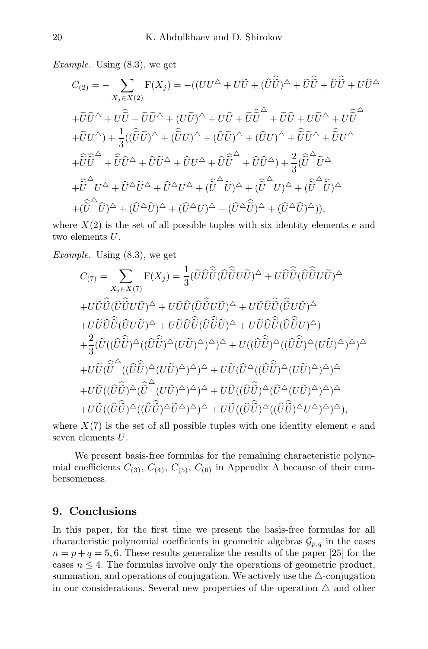Example. Using (8.3), we get

$$
C_{(2)} = -\sum_{X_j \in X(2)} \mathbf{F}(X_j) = -((UU^{\triangle} + U\tilde{U} + (\hat{U}\hat{\tilde{U}})^{\triangle} + \tilde{U}\hat{\tilde{U}} + \hat{U}\hat{\tilde{U}} + U\hat{\tilde{U}}^{\triangle}
$$
  
+ $\tilde{U}\hat{U}^{\triangle} + U\hat{\tilde{U}} + \tilde{U}\tilde{U}^{\triangle} + (U\tilde{U})^{\triangle} + U\hat{U} + \tilde{U}\hat{\tilde{U}}^{\triangle} + \tilde{U}\hat{U} + U\tilde{U}^{\triangle} + U\hat{\tilde{U}}^{\triangle}$   
+ $\tilde{U}U^{\triangle}) + \frac{1}{3}((\hat{\tilde{U}}\tilde{U})^{\triangle} + (\hat{\tilde{U}}U)^{\triangle} + (\hat{U}\tilde{U})^{\triangle} + (\hat{U}U)^{\triangle} + \hat{\tilde{U}}\tilde{U}^{\triangle} + \hat{\tilde{U}}U^{\triangle}$   
+ $\hat{\tilde{U}}\tilde{\tilde{U}}^{\triangle} + \hat{\tilde{U}}\hat{\tilde{U}}^{\triangle} + \hat{U}\hat{U}^{\triangle} + \hat{U}\tilde{U}^{\triangle} + \hat{U}\tilde{U}^{\triangle} + \hat{U}\tilde{U}^{\triangle} + \hat{U}\tilde{U}^{\triangle} + \hat{U}\tilde{U}^{\triangle} + \hat{U}\tilde{U}^{\triangle} + \hat{U}\tilde{U}^{\triangle} + \hat{U}\tilde{U}^{\triangle} + \hat{U}^{\triangle}\tilde{U}^{\triangle} + \hat{U}^{\triangle}U^{\triangle} + (\tilde{\tilde{U}}^{\triangle}\tilde{U})^{\triangle} + (\tilde{\tilde{U}}^{\triangle}\tilde{U})^{\triangle} + (\tilde{\tilde{U}}^{\triangle}\tilde{U})^{\triangle} + (\hat{U}^{\triangle}\tilde{U})^{\triangle} + (\hat{U}^{\triangle}\tilde{U})^{\triangle} + (\hat{U}^{\triangle}\tilde{U})^{\triangle} + (\hat{U}^{\triangle}\tilde{U})^{\triangle} + (\hat{U}^{\triangle}\tilde{U})^{\triangle} + (\hat{U}^{\triangle}\tilde{U})^{\triangle} + (\hat{U}^{\triangle}\tilde{U})^{\triangle} + (\$ 

where  $X(2)$  is the set of all possible tuples with six identity elements e and two elements U.

Example. Using (8.3), we get

$$
C_{(7)} = \sum_{X_j \in X(7)} \mathbf{F}(X_j) = \frac{1}{3} (\widetilde{U} \widehat{U} \widehat{U} (\widehat{U} \widetilde{U} U \widetilde{U})^{\Delta} + U \widehat{U} \widehat{U} (\widehat{U} \widehat{U} U \widetilde{U})^{\Delta}
$$
  
+  $U \widetilde{U} \widehat{U} (\widehat{U} \widehat{U} U \widetilde{U})^{\Delta} + U \widetilde{U} \widehat{U} (\widehat{U} \widehat{U} U \widetilde{U})^{\Delta} + U \widetilde{U} \widehat{U} \widehat{U} (\widehat{U} \widehat{U} U \widetilde{U})^{\Delta} + U \widetilde{U} \widehat{U} \widehat{U} (\widehat{U} \widehat{U} U \widetilde{U})^{\Delta} + U \widetilde{U} \widehat{U} \widehat{U} (\widehat{U} \widehat{U} U)^{\Delta} + U \widetilde{U} \widehat{U} \widehat{U} (\widehat{U} \widehat{U} U)^{\Delta} + U \widetilde{U} \widehat{U} \widehat{U} (\widehat{U} \widehat{U} U)^{\Delta})$   
+  $\frac{2}{3} (\widetilde{U} ((\widehat{U} \widehat{U})^{\Delta} ((\widehat{U} \widehat{U})^{\Delta} (U \widetilde{U})^{\Delta})^{\Delta})^{\Delta} + U ((\widehat{U} \widehat{U})^{\Delta} ((\widehat{U} \widehat{U})^{\Delta} ((U \widetilde{U})^{\Delta})^{\Delta})^{\Delta})^{\Delta}$   
+  $U \widetilde{U} ((\widehat{U} \widehat{U})^{\Delta} ((U \widetilde{U})^{\Delta})^{\Delta})^{\Delta} + U \widetilde{U} ((\widehat{U} \widehat{U})^{\Delta} ((U \widehat{U})^{\Delta})^{\Delta})^{\Delta} + U \widetilde{U} ((\widehat{U} \widehat{U})^{\Delta} ((U \widehat{U})^{\Delta})^{\Delta})^{\Delta}$   
+  $U \widetilde{U} ((\widehat{U} \widehat{U})^{\Delta} ((\widehat{U} \widehat{U})^{\Delta} (\widehat{U}^{\Delta} (U \widehat{U})^{\Delta})^{\$ 

where  $X(7)$  is the set of all possible tuples with one identity element e and seven elements U.

We present basis-free formulas for the remaining characteristic polynomial coefficients  $C_{(3)}$ ,  $C_{(4)}$ ,  $C_{(5)}$ ,  $C_{(6)}$  in Appendix A because of their cumbersomeness.

## 9. Conclusions

In this paper, for the first time we present the basis-free formulas for all characteristic polynomial coefficients in geometric algebras  $\mathcal{G}_{p,q}$  in the cases  $n = p + q = 5, 6$ . These results generalize the results of the paper [25] for the cases  $n \leq 4$ . The formulas involve only the operations of geometric product, summation, and operations of conjugation. We actively use the  $\triangle$ -conjugation in our considerations. Several new properties of the operation  $\triangle$  and other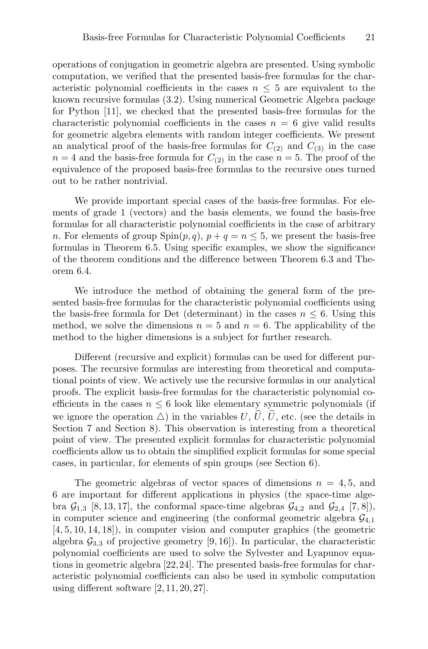operations of conjugation in geometric algebra are presented. Using symbolic computation, we verified that the presented basis-free formulas for the characteristic polynomial coefficients in the cases  $n \leq 5$  are equivalent to the known recursive formulas (3.2). Using numerical Geometric Algebra package for Python [11], we checked that the presented basis-free formulas for the characteristic polynomial coefficients in the cases  $n = 6$  give valid results for geometric algebra elements with random integer coefficients. We present an analytical proof of the basis-free formulas for  $C_{(2)}$  and  $C_{(3)}$  in the case  $n = 4$  and the basis-free formula for  $C_{(2)}$  in the case  $n = 5$ . The proof of the equivalence of the proposed basis-free formulas to the recursive ones turned out to be rather nontrivial.

We provide important special cases of the basis-free formulas. For elements of grade 1 (vectors) and the basis elements, we found the basis-free formulas for all characteristic polynomial coefficients in the case of arbitrary n. For elements of group  $\text{Spin}(p,q), p+q=n \leq 5$ , we present the basis-free formulas in Theorem 6.5. Using specific examples, we show the significance of the theorem conditions and the difference between Theorem 6.3 and Theorem 6.4.

We introduce the method of obtaining the general form of the presented basis-free formulas for the characteristic polynomial coefficients using the basis-free formula for Det (determinant) in the cases  $n \leq 6$ . Using this method, we solve the dimensions  $n = 5$  and  $n = 6$ . The applicability of the method to the higher dimensions is a subject for further research.

Different (recursive and explicit) formulas can be used for different purposes. The recursive formulas are interesting from theoretical and computational points of view. We actively use the recursive formulas in our analytical proofs. The explicit basis-free formulas for the characteristic polynomial coefficients in the cases  $n \leq 6$  look like elementary symmetric polynomials (if we ignore the operation  $\triangle$ ) in the variables  $U, \hat{U}, \tilde{U}$ , etc. (see the details in Section 7 and Section 8). This observation is interesting from a theoretical point of view. The presented explicit formulas for characteristic polynomial coefficients allow us to obtain the simplified explicit formulas for some special cases, in particular, for elements of spin groups (see Section 6).

The geometric algebras of vector spaces of dimensions  $n = 4, 5$ , and 6 are important for different applications in physics (the space-time algebra  $\mathcal{G}_{1,3}$  [8, 13, 17], the conformal space-time algebras  $\mathcal{G}_{4,2}$  and  $\mathcal{G}_{2,4}$  [7, 8]), in computer science and engineering (the conformal geometric algebra  $\mathcal{G}_{4,1}$ [4, 5, 10, 14, 18]), in computer vision and computer graphics (the geometric algebra  $\mathcal{G}_{3,3}$  of projective geometry [9, 16]). In particular, the characteristic polynomial coefficients are used to solve the Sylvester and Lyapunov equations in geometric algebra [22,24]. The presented basis-free formulas for characteristic polynomial coefficients can also be used in symbolic computation using different software [2, 11, 20, 27].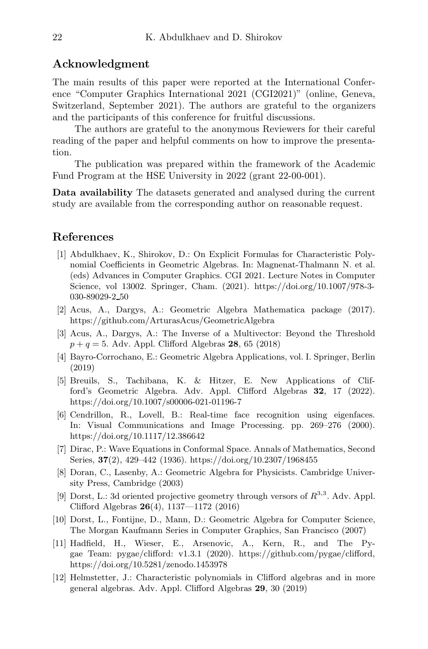#### Acknowledgment

The main results of this paper were reported at the International Conference "Computer Graphics International 2021 (CGI2021)" (online, Geneva, Switzerland, September 2021). The authors are grateful to the organizers and the participants of this conference for fruitful discussions.

The authors are grateful to the anonymous Reviewers for their careful reading of the paper and helpful comments on how to improve the presentation.

The publication was prepared within the framework of the Academic Fund Program at the HSE University in 2022 (grant 22-00-001).

Data availability The datasets generated and analysed during the current study are available from the corresponding author on reasonable request.

#### References

- [1] Abdulkhaev, K., Shirokov, D.: On Explicit Formulas for Characteristic Polynomial Coefficients in Geometric Algebras. In: Magnenat-Thalmann N. et al. (eds) Advances in Computer Graphics. CGI 2021. Lecture Notes in Computer Science, vol 13002. Springer, Cham. (2021). https://doi.org/10.1007/978-3- 030-89029-2 50
- [2] Acus, A., Dargys, A.: Geometric Algebra Mathematica package (2017). https://github.com/ArturasAcus/GeometricAlgebra
- [3] Acus, A., Dargys, A.: The Inverse of a Multivector: Beyond the Threshold  $p + q = 5$ . Adv. Appl. Clifford Algebras 28, 65 (2018)
- [4] Bayro-Corrochano, E.: Geometric Algebra Applications, vol. I. Springer, Berlin (2019)
- [5] Breuils, S., Tachibana, K. & Hitzer, E. New Applications of Clifford's Geometric Algebra. Adv. Appl. Clifford Algebras 32, 17 (2022). https://doi.org/10.1007/s00006-021-01196-7
- [6] Cendrillon, R., Lovell, B.: Real-time face recognition using eigenfaces. In: Visual Communications and Image Processing. pp. 269–276 (2000). https://doi.org/10.1117/12.386642
- [7] Dirac, P.: Wave Equations in Conformal Space. Annals of Mathematics, Second Series, 37(2), 429–442 (1936). https://doi.org/10.2307/1968455
- [8] Doran, C., Lasenby, A.: Geometric Algebra for Physicists. Cambridge University Press, Cambridge (2003)
- [9] Dorst, L.: 3d oriented projective geometry through versors of  $R^{3,3}$ . Adv. Appl. Clifford Algebras 26(4), 1137—1172 (2016)
- [10] Dorst, L., Fontijne, D., Mann, D.: Geometric Algebra for Computer Science, The Morgan Kaufmann Series in Computer Graphics, San Francisco (2007)
- [11] Hadfield, H., Wieser, E., Arsenovic, A., Kern, R., and The Pygae Team: pygae/clifford: v1.3.1 (2020). https://github.com/pygae/clifford, https://doi.org/10.5281/zenodo.1453978
- [12] Helmstetter, J.: Characteristic polynomials in Clifford algebras and in more general algebras. Adv. Appl. Clifford Algebras 29, 30 (2019)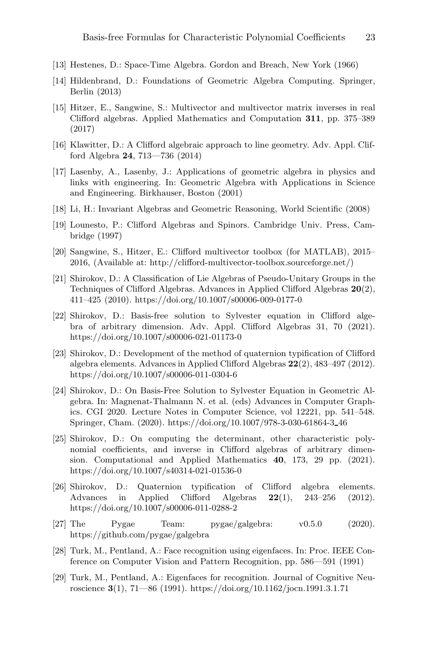- [13] Hestenes, D.: Space-Time Algebra. Gordon and Breach, New York (1966)
- [14] Hildenbrand, D.: Foundations of Geometric Algebra Computing. Springer, Berlin (2013)
- [15] Hitzer, E., Sangwine, S.: Multivector and multivector matrix inverses in real Clifford algebras. Applied Mathematics and Computation 311, pp. 375–389 (2017)
- [16] Klawitter, D.: A Clifford algebraic approach to line geometry. Adv. Appl. Clifford Algebra 24, 713—736 (2014)
- [17] Lasenby, A., Lasenby, J.: Applications of geometric algebra in physics and links with engineering. In: Geometric Algebra with Applications in Science and Engineering. Birkhauser, Boston (2001)
- [18] Li, H.: Invariant Algebras and Geometric Reasoning, World Scientific (2008)
- [19] Lounesto, P.: Clifford Algebras and Spinors. Cambridge Univ. Press, Cambridge (1997)
- [20] Sangwine, S., Hitzer, E.: Clifford multivector toolbox (for MATLAB), 2015– 2016, (Available at: http://clifford-multivector-toolbox.sourceforge.net/)
- [21] Shirokov, D.: A Classification of Lie Algebras of Pseudo-Unitary Groups in the Techniques of Clifford Algebras. Advances in Applied Clifford Algebras 20(2), 411–425 (2010). https://doi.org/10.1007/s00006-009-0177-0
- [22] Shirokov, D.: Basis-free solution to Sylvester equation in Clifford algebra of arbitrary dimension. Adv. Appl. Clifford Algebras 31, 70 (2021). https://doi.org/10.1007/s00006-021-01173-0
- [23] Shirokov, D.: Development of the method of quaternion typification of Clifford algebra elements. Advances in Applied Clifford Algebras 22(2), 483–497 (2012). https://doi.org/10.1007/s00006-011-0304-6
- [24] Shirokov, D.: On Basis-Free Solution to Sylvester Equation in Geometric Algebra. In: Magnenat-Thalmann N. et al. (eds) Advances in Computer Graphics. CGI 2020. Lecture Notes in Computer Science, vol 12221, pp. 541–548. Springer, Cham. (2020). https://doi.org/10.1007/978-3-030-61864-3 46
- [25] Shirokov, D.: On computing the determinant, other characteristic polynomial coefficients, and inverse in Clifford algebras of arbitrary dimension. Computational and Applied Mathematics 40, 173, 29 pp. (2021). https://doi.org/10.1007/s40314-021-01536-0
- [26] Shirokov, D.: Quaternion typification of Clifford algebra elements. Advances in Applied Clifford Algebras  $22(1)$ ,  $243-256$  (2012). https://doi.org/10.1007/s00006-011-0288-2
- [27] The Pygae Team: pygae/galgebra: v0.5.0 (2020). https://github.com/pygae/galgebra
- [28] Turk, M., Pentland, A.: Face recognition using eigenfaces. In: Proc. IEEE Conference on Computer Vision and Pattern Recognition, pp. 586—591 (1991)
- [29] Turk, M., Pentland, A.: Eigenfaces for recognition. Journal of Cognitive Neuroscience  $3(1)$ ,  $71-86$  (1991). https://doi.org/10.1162/jocn.1991.3.1.71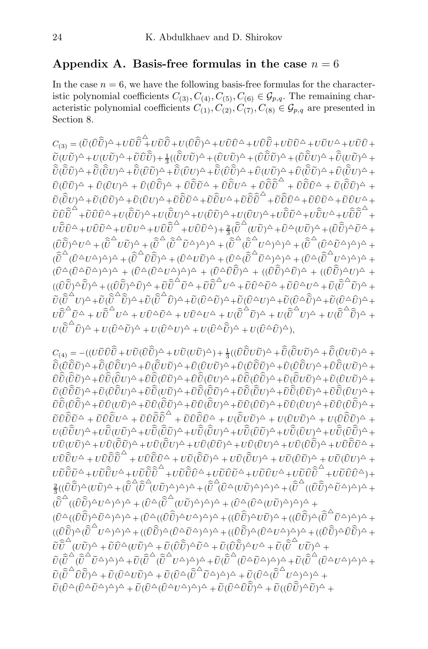### Appendix A. Basis-free formulas in the case  $n = 6$

In the case  $n = 6$ , we have the following basis-free formulas for the characteristic polynomial coefficients  $C_{(3)}$ ,  $C_{(4)}$ ,  $C_{(5)}$ ,  $C_{(6)} \in \mathcal{G}_{p,q}$ . The remaining characteristic polynomial coefficients  $C_{(1)}, C_{(2)}, C_{(7)}, C_{(8)} \in \mathcal{G}_{p,q}$  are presented in Section 8.

 $C_{(3)}=(\widetilde{U}(\hat{U}\hat{\widetilde{U}})^{\triangle}+U\widetilde{\hat{U}}\hat{\widetilde{U}}+U(\hat{U}\hat{\widetilde{U}})^{\triangle}+U\widetilde{\hat{U}}\hat{\widetilde{U}}^{\triangle}+U\hat{\widetilde{U}}\widetilde{\hat{U}}+U\widetilde{\hat{U}}\widetilde{\hat{U}}+U\widetilde{\hat{U}}\hat{\widetilde{U}}+U\widetilde{\hat{U}}\hat{\widetilde{U}}+U\widetilde{\hat{U}}\hat{\widetilde{U}}+U\widetilde{\hat{U}}\hat{\widetilde{U}}+U\widetilde{\$  $\tilde{U}(U\tilde{U})^{\triangle}+U(U\tilde{U})^{\triangle}+\tilde{U}\hat{U}\hat{\tilde{U}})+\frac{1}{3}((\hat{\tilde{U}}U\tilde{U})^{\triangle}+(\hat{U}U\tilde{U})^{\triangle}+(\hat{U}\hat{\tilde{U}}\tilde{U})^{\triangle}+(\hat{U}\hat{\tilde{U}}U)^{\triangle}+\hat{\tilde{U}}(U\tilde{U})^{\triangle}+\hat{\tilde{U}}(U\tilde{U})^{\triangle}$  $\hat{U}(\hat{U}\tilde{U})^{\Delta} + \hat{U}(\hat{U}\tilde{U})^{\Delta} + \hat{U}(\hat{U}\tilde{U})^{\Delta} + \hat{U}(\hat{U}\tilde{U})^{\Delta} + \hat{U}(\hat{U}\tilde{U})^{\Delta} + \hat{U}(\hat{U}\tilde{U})^{\Delta} + \hat{U}(\hat{U}\tilde{U})^{\Delta} + \hat{U}(\hat{U}\tilde{U})^{\Delta} + \hat{U}(\hat{U}\tilde{U})^{\Delta} + \hat{U}(\hat{U}\tilde{U})^{\Delta} + \hat{U}(\hat{U}\tilde{U})^{\Delta} +$  $\hat{U}(\hat{U}\tilde{U})^{\triangle} + \hat{U}(\hat{U}\tilde{U})^{\triangle} + \hat{U}\hat{\tilde{U}}\tilde{U}^{\triangle} + \hat{U}\hat{\tilde{U}}\tilde{U}^{\triangle} + \hat{U}\hat{\tilde{U}}\tilde{\tilde{U}}^{\triangle} + \hat{U}\hat{\tilde{U}}\tilde{\tilde{U}}^{\triangle} + \hat{U}(\hat{\tilde{U}}\tilde{U})^{\triangle} + \hat{U}(\hat{\tilde{U}}\tilde{U})^{\triangle} + \hat{U}(\hat{\tilde{U}}\tilde{U})^{\triangle}$  $\begin{split} &\widetilde{U}(\widehat{\vec{U}}U)^{\triangle}+\widetilde{U}(\widehat{U}\widetilde{U})^{\triangle}+\widetilde{U}\widehat{\vec{U}}\widetilde{U}^{\triangle}+\widetilde{U}\widehat{\vec{U}}\widetilde{U}^{\triangle}+\widetilde{U}\widehat{\vec{U}}\widetilde{\vec{U}}^{\triangle}+\widetilde{U}\widehat{\vec{U}}\widetilde{\vec{U}}^{\triangle}+\widetilde{U}\widehat{\vec{U}}\widetilde{\vec{U}}^{\triangle}+\widetilde{\vec{U}}\widehat{\vec{U}}\vec{U}^{\triangle}+\widetilde{\vec{U}}\widehat{\vec$  $\tilde{U}\hat{\tilde{U}}\hat{\tilde{U}}^{\triangle}+\tilde{U}\hat{U}\hat{U}^{\triangle}+U(\widetilde{\tilde{U}}\tilde{U})^{\triangle}+U(\widetilde{\tilde{U}}U)^{\triangle}+U(\widehat{\tilde{U}}\tilde{U})^{\triangle}+U(\widehat{\tilde{U}}U)^{\triangle}+U\widehat{\tilde{U}}\tilde{U}^{\triangle}+U\widehat{\tilde{U}}\tilde{U}^{\triangle}+\tilde{U}\widehat{\tilde{U}}\tilde{\tilde{U}}^{\triangle}+U\widehat{\tilde{U}}\tilde{U}^{\triangle}+U\widehat{\tilde{U}}$  $U\hat{\bar{U}}\hat{U}^{\triangle}+U\hat{U}\tilde{U}^{\triangle}+U\hat{U}U^{\triangle}+U\hat{U}\hat{\tilde{U}}^{\triangle}+U\hat{U}\hat{U}^{\triangle})+\tfrac{2}{3}(\widehat{\tilde{U}}^{\triangle}(U\tilde{U})^{\triangle}+\hat{U}^{\triangle}(U\tilde{U})^{\triangle}+(\hat{U}\hat{\tilde{U}})^{\triangle}\tilde{U}^{\triangle}+U\hat{U}^{\triangle}U^{\triangle}$  $(\widehat{U}\widehat{\widetilde{U}})^{\triangle}U^{\triangle}+(\widehat{\widetilde{U}}^{\triangle}U\widetilde{U})^{\triangle}+(\widehat{\widetilde{U}}^{\triangle}\widetilde{\widetilde{U}}^{\triangle}\widetilde{U}^{\triangle})^{\triangle})^{\triangle}+(\widehat{\widetilde{U}}^{\triangle}\widetilde{\widetilde{U}}^{\triangle}\widetilde{U}^{\triangle})^{\triangle})^{\triangle}+(\widehat{\widetilde{U}}^{\triangle}\widetilde{\widetilde{U}}^{\triangle}\widetilde{U}^{\triangle})^{\triangle})^{\triangle}+(\widehat{\widetilde{U}}^{\triangle}\widetilde{\widetilde{U}}^{\triangle}\widetilde{$  $(\widehat{\widetilde{U}}^{\triangle}(\widehat{U}^{\triangle}U^{\triangle})^{\triangle})^{\triangle} + (\widehat{\widetilde{U}}^{\triangle}\widehat{U}\widehat{\widetilde{U}})^{\triangle} + (\widehat{U}^{\triangle}U\widetilde{U})^{\triangle} + (\widehat{U}^{\triangle}(\widehat{\widetilde{U}}^{\triangle}\widetilde{U}^{\triangle})^{\triangle})^{\triangle} + (\widehat{U}^{\triangle}(\widehat{\widetilde{U}}^{\triangle}U^{\triangle})^{\triangle})^{\triangle} +$  $(\widehat U^\Delta(\widehat U^\Delta\widetilde U^\Delta)^\Delta)^\Delta + (\widehat U^\Delta(\widehat U^\Delta U^\Delta)^\Delta)^\Delta + (\widehat U^\Delta\widehat{\widehat U}\widehat{\widehat U})^\Delta + ((\widehat{\widehat U}\widehat{\widetilde U})^\Delta\widetilde U)^\Delta + ((\widehat{\widehat U}\widehat{\widetilde U})^\Delta U)^\Delta +$  $((\widehat{U}\widehat{\widetilde{U}})^{\triangle} \widehat{\widetilde{U}})^{\triangle} + ((\widehat{U}\widehat{\widetilde{U}})^{\triangle} \widehat{U})^{\triangle} + \widetilde{U}\widehat{\widetilde{U}}^{\triangle} \widetilde{U}^{\triangle} + \widetilde{U}\widehat{\widetilde{U}}^{\triangle} U^{\triangle} + \widetilde{U}\widehat{U}^{\triangle} \widetilde{U}^{\triangle} + \widetilde{U}\widehat{U}^{\triangle} U^{\triangle} + \widetilde{U}(\widehat{\widetilde{U}}^{\triangle}\widetilde{U})^{\triangle} +$  $\begin{split} &\stackrel{\leftrightarrow}{U}(\widehat{\widetilde{U}}{}^{\Delta}U)^{\Delta}+\widetilde{U}(\widehat{\widetilde{U}}{}^{\Delta}\widehat{\widetilde{U}})^{\Delta}+\widetilde{U}(\widehat{\widetilde{U}}{}^{\Delta}\widehat{U})^{\Delta}+\widetilde{U}(\widehat{U}^{\Delta}\widetilde{U})^{\Delta}+\widetilde{U}(\widehat{U}^{\Delta}U)^{\Delta}+\widetilde{U}(\widehat{U}^{\Delta}\widehat{\widetilde{U}})^{\Delta}+\widetilde{U}(\widehat{U}^{\Delta}\widehat{\widetilde{U}})^{\Delta}+\widetilde{U}(\widehat{$  $U \hat{\tilde{U}}^{\triangle} \tilde{U}^{\triangle} + U \hat{\tilde{U}}^{\triangle} U^{\triangle} + U \hat{U}^{\triangle} \tilde{U}^{\triangle} + U \hat{U}^{\triangle} U^{\triangle} + U (\hat{\tilde{U}}^{\triangle} \tilde{U})^{\triangle} + U (\hat{\tilde{U}}^{\triangle} U)^{\triangle} + U (\hat{\tilde{U}}^{\triangle} \tilde{U})^{\triangle} + U (\hat{\tilde{U}}^{\triangle} \tilde{U})^{\triangle} + U (\hat{\tilde{U}}^{\triangle} \tilde{U})^{\triangle} + U (\hat{\tilde{U}}^{\triangle} \tilde{U})^{\triangle} + U$  $U(\hat{\tilde{U}}^{\triangle} \hat{U})^{\triangle} + U(\hat{U}^{\triangle} \tilde{U})^{\triangle} + U(\hat{U}^{\triangle} U)^{\triangle} + U(\hat{U}^{\triangle} \hat{\tilde{U}})^{\triangle} + U(\hat{U}^{\triangle} \hat{U})^{\triangle}),$ 

 $C_{(4)}= -((U\tilde{U}\hat{U}\hat{\tilde{U}}+U\tilde{U}(\hat{U}\hat{\tilde{U}})^{\triangle}+U\tilde{U}(U\tilde{U})^{\triangle})+\tfrac{1}{3}((\hat{U}\hat{\tilde{U}}U\tilde{U})^{\triangle}+\t\hat{\tilde{U}}(\hat{\tilde{U}}U\tilde{U})^{\triangle}+\t\widetilde{\tilde{U}}(\hat{U}U\tilde{U})^{\triangle}+\t\widetilde{\tilde{U}}(\hat{U}U\tilde{U})^{\triangle}$  $\hat{\vec{U}}(\hat{U}\hat{\vec{U}}\tilde{U})^{\Delta}+\hat{\vec{U}}(\hat{U}\hat{\vec{U}}U)^{\Delta}+\hat{U}(\hat{\vec{U}}U\tilde{U})^{\Delta}+\hat{U}(\hat{U}\tilde{U}\tilde{U})^{\Delta}+\hat{U}(\hat{U}\hat{\vec{U}}\tilde{U})^{\Delta}+\hat{U}(\hat{U}\hat{\vec{U}}\tilde{U})^{\Delta}+\hat{U}(\hat{U}\hat{\vec{U}}\tilde{U})^{\Delta}+\hat{U}(\hat{\vec{U}}\tilde{\vec{U}}\tilde{U})^{\Delta}+\hat{U}(\hat{\vec{U}}\til$  $\hat{U}\hat{\tilde{U}}(\tilde{\tilde{U}}\tilde{U})^{\triangle}+\hat{U}\hat{\tilde{U}}(\tilde{\tilde{U}}\tilde{U})^{\triangle}+\hat{U}\hat{\tilde{U}}(\hat{U}\tilde{U})^{\triangle}+\hat{U}\hat{\tilde{U}}(\hat{U}\tilde{U})^{\triangle}+\hat{U}\hat{\tilde{U}}(\hat{U}\tilde{\tilde{U}})^{\triangle}+\tilde{U}(\hat{\tilde{U}}\tilde{U}\tilde{U})^{\triangle}+\tilde{U}(\hat{U}\tilde{U}\tilde{U})^{\triangle}+\tilde{U}(\hat{U}\tilde{U}\tilde{U})^{\$  $\begin{split} &\widetilde{U}(\hat{U}\hat{\tilde{U}}\tilde{U})^{\triangle}+\widetilde{U}\hat{\tilde{U}}\hat{\tilde{U}}\tilde{U}\tilde{U}^{\vee})^{\triangle}+\widetilde{U}\hat{\tilde{U}}(\hat{\tilde{U}}\tilde{U})^{\triangle}+\widetilde{U}\hat{\tilde{U}}(\hat{\tilde{U}}\tilde{U})^{\triangle}+\widetilde{U}\hat{\tilde{U}}(\hat{\tilde{U}}\tilde{U})^{\triangle}+\widetilde{U}\hat{\tilde{U}}(\hat{\tilde{U}}\tilde{U})^{\triangle}+\widetilde{U}\hat{\tilde{U}}(\$  $\tilde{U}\hat{\tilde{U}}(\hat{U}\hat{\tilde{U}})\hat{O}+\tilde{U}\hat{U}(\tilde{U}\tilde{U})\hat{O}+\tilde{U}\hat{U}(\hat{\tilde{U}}\tilde{U})\hat{O}+\tilde{U}\hat{U}(\hat{\tilde{U}}\tilde{U})\hat{O}+\tilde{U}\hat{U}(\hat{U}\tilde{U})\hat{O}+\tilde{U}\hat{U}(\hat{U}\tilde{U})\hat{O}+\tilde{U}\hat{U}(\hat{U}\tilde{\tilde{U}})\hat{O}+\tilde{U}\hat{U}(\hat{U}\tilde{\tilde{U}})\hat{O}$  $\tilde{U}\hat{\hat{U}}\tilde{\hat{U}}\tilde{\hat{U}}^{\triangle}+\tilde{U}\hat{U}\hat{\hat{U}}\tilde{\hat{U}}\tilde{\hat{U}}^{\triangle}+\tilde{U}\hat{\hat{U}}\tilde{\hat{U}}\hat{\hat{U}}^{\triangle}+U(\hat{\hat{U}}U\tilde{U})^{\triangle}+U(\hat{U}U\tilde{U})^{\triangle}+U(\hat{U}\hat{\hat{U}}\tilde{\hat{U}}^{\triangle}+\tilde{U}\hat{\hat{U}}\tilde{\hat{U}}^{\triangle}+\tilde{U}\hat{\hat{U}}\hat{\hat{U}}^{\triangle}+\tilde{U}\hat{\hat{U$  $U(\hat{U}\hat{\tilde{U}}U)^{\Delta}+U\hat{\tilde{U}}(\tilde{U}\tilde{U})^{\Delta}+U\hat{\tilde{U}}(\hat{\tilde{U}}\tilde{U})^{\Delta}+U\hat{\tilde{U}}(\hat{\tilde{U}}\tilde{U})^{\Delta}+U\hat{\tilde{U}}(\hat{\tilde{U}}\tilde{U})^{\Delta}+U\hat{\tilde{U}}(\hat{\tilde{U}}\tilde{U})^{\Delta}+U\hat{\tilde{U}}(\hat{\tilde{U}}\tilde{\tilde{U}})^{\Delta}+U\hat{\tilde{U}}(\tilde{\tilde{U}}\tilde{\tilde{U}}^{\Delta}+U$  $\begin{split} &U\hat{\vec{U}}(U\tilde{\vec{U}})^{\Delta}+U\hat{\vec{U}}(\tilde{\vec{U}}\tilde{\vec{U}})^{\Delta}+U\hat{\vec{U}}(\tilde{\vec{U}}\tilde{\vec{U}})^{\Delta}+U\hat{\vec{U}}(\tilde{\vec{U}}\tilde{\vec{U}})^{\Delta}+U\hat{\vec{U}}(\tilde{\vec{U}}\tilde{\vec{U}})^{\Delta}+U\hat{\vec{U}}\tilde{\vec{U}}\tilde{\vec{U}}^{\Delta}+U\hat{\vec{U}}\tilde{\vec{U}}\tilde{\vec{U}}^{\Delta}+\tilde{\vec{U}}\tilde{\vec{U}}\til$  $U\hat{\hat{U}}\hat{\tilde{U}}U^{\triangle}+U\hat{\hat{U}}\hat{\tilde{U}}\hat{\tilde{U}}^{\triangle}+U\hat{\tilde{U}}(\hat{\tilde{U}}\tilde{\tilde{U}})^{\triangle}+U\tilde{\tilde{U}}(\hat{\tilde{U}}\tilde{U})^{\triangle}+U\tilde{\tilde{U}}(\hat{\tilde{U}}\tilde{U})^{\triangle}+U\tilde{\tilde{U}}(\hat{\tilde{U}}\tilde{U})^{\triangle}+U\tilde{\tilde{U}}(\hat{\tilde{U}}\tilde{U})^{\triangle}+\tilde{\tilde{U}}(\hat{\tilde{U}}\tilde{U})$  $U\tilde U\tilde{\tilde U}\tilde U^\triangle +U\tilde U\tilde{\tilde U}\tilde U^\triangle +U\tilde U\tilde{\tilde U}\tilde{\tilde U}^\triangle +U\tilde U\tilde U\tilde U^\triangle +U\tilde U\tilde UU^\triangle +U\tilde U\hat{\tilde U}\tilde{\tilde U}^\triangle +U\tilde U\hat{\tilde U}\tilde{\tilde U}^\triangle +U\tilde{\tilde U}\tilde U\tilde{\tilde U}^\triangle +U\tilde{\tilde U}\tilde U\tilde{\tilde U}^\triangle +U\tilde{\tilde U}\tilde{\tilde U}^\triangle +U\tilde{\tilde U}\tilde{\tilde U}^\triangle +U\$  $\frac{2}{3}((\hat{U}\hat{\tilde{U}})^{\triangle}(U\tilde{U})^{\triangle}+(\hat{\tilde{U}}^{\triangle}(\hat{U}^{\triangle}(U\tilde{U})^{\triangle})^{\triangle})^{\triangle}+(\hat{\tilde{U}}^{\triangle}(\hat{U}\tilde{U})^{\triangle})(^{\triangle})^{\triangle})^{\triangle}+(\hat{\tilde{U}}^{\triangle}((\hat{U}\hat{\tilde{U}})^{\triangle}\tilde{U}^{\triangle})^{\triangle})^{\triangle}+$ 3  $\big( \hat{\tilde{U}}^{\triangle}((\hat{U}\hat{\tilde{U}})^{\triangle}U^{\triangle})^{\triangle}\big) \triangleq+(\hat{U}^{\triangle}(\hat{\tilde{U}}^{\triangle}(U\tilde{U})^{\triangle})^{\triangle})^{\triangle}+(\hat{U}^{\triangle}(\hat{U}^{\triangle}(U\tilde{U})^{\triangle})^{\triangle})^{\triangle}+\cdots$  $(\widehat U^{\Delta}((\widehat U\widehat{\widetilde U})^{\Delta}\widetilde U^{\Delta})^{\Delta})^{\Delta} + (\widehat U^{\Delta}((\widehat U\widehat{\widetilde U})^{\Delta}U^{\Delta})^{\Delta})^{\Delta} + ((\widehat U\widehat{\widetilde U})^{\Delta}U\widetilde U)^{\Delta} + ((\widehat U\widehat{\widetilde U})^{\Delta}(\widehat{\widetilde U}^{\Delta}\widetilde U^{\Delta})^{\Delta})^{\Delta} +$  $\begin{split} &\langle ((\widehat{U}\widehat{\widetilde{U}})^{\triangle}(\widehat{\widetilde{U}}^{\triangle}U^{\triangle})^{\triangle})^{\triangle} + ((\widehat{U}\widehat{\widetilde{U}})^{\triangle}(\widehat{U}^{\triangle}\widetilde{U}^{\triangle})^{\triangle})^{\triangle} + ((\widehat{U}\widehat{\widetilde{U}})^{\triangle}(\widehat{U}^{\triangle}U^{\triangle})^{\triangle})^{\triangle} + ((\widehat{U}\widehat{\widetilde{U}})^{\triangle}(\widehat{U}\widehat{\widetilde{U}})^{\triangle} + \widehat{U}\widehat{\widetilde{U}})^{\triangle} \end{split}$  $\overset{\leftrightarrow}{U}\hat{\tilde{U}}^{\triangle}(U\tilde{U})^{\triangle}+\tilde{U}\hat{U}^{\triangle}(U\tilde{U})^{\triangle}+\tilde{U}(\hat{U}\hat{\tilde{U}})^{\triangle}\tilde{U}^{\triangle}+\tilde{U}(\hat{U}\hat{\tilde{U}})^{\triangle}U^{\triangle}+\tilde{U}(\hat{\tilde{U}}^{\triangle}\tilde{U}\tilde{U})^{\triangle}+\tilde{U}(\tilde{\tilde{U}}^{\triangle}\tilde{U}\tilde{U})^{\triangle}$  $\tilde{U}(\widehat{\tilde{U}}^{\triangle}(\widehat{\tilde{U}}^{\triangle}\tilde{U}^{\triangle})^{\triangle})^{\triangle}+\tilde{U}(\widehat{\tilde{U}}^{\triangle}\tilde{U}^{\triangle}\tilde{U}^{\triangle})^{\triangle})^{\triangle}+\tilde{U}(\widehat{\tilde{U}}^{\triangle}\tilde{U}^{\triangle}\tilde{U}^{\triangle})^{\triangle})^{\triangle}+\tilde{U}(\widehat{\tilde{U}}^{\triangle}\tilde{U}^{\triangle})^{\triangle})^{\triangle}+\tilde{U}(\widehat{\tilde{U}}^{\triangle}\tilde{U}^{\triangle})^{\triangle})^{\triangle}+\tilde{U}(\widehat$  $\tilde{U}(\widehat{\tilde{U}}^{\triangle} \widehat{U}\widehat{\tilde{U}})^{\triangle} + \tilde{U}(\widehat{U}^{\triangle} U\widetilde{U})^{\triangle} + \tilde{U}(\widehat{U}^{\triangle}(\widehat{\widetilde{U}}^{\triangle}\widetilde{U}^{\triangle})^{\triangle})^{\triangle} + \tilde{U}(\widehat{U}^{\triangle}(\widehat{\widetilde{U}}^{\triangle}U^{\triangle})^{\triangle})^{\triangle} +$  $\tilde{U}(\hat{U}^{\Delta}(\hat{U}^{\Delta}\tilde{U}^{\Delta})^{\Delta})^{\Delta} + \tilde{U}(\hat{U}^{\Delta}(\hat{U}^{\Delta}U^{\Delta})^{\Delta})^{\Delta} + \tilde{U}(\hat{U}^{\Delta}\hat{U}\hat{\tilde{U}})^{\Delta} + \tilde{U}((\hat{U}\hat{\tilde{U}})^{\Delta}\tilde{U})^{\Delta} + \tilde{U}(\hat{U}^{\Delta}\tilde{U}^{\Delta}\tilde{U})^{\Delta}$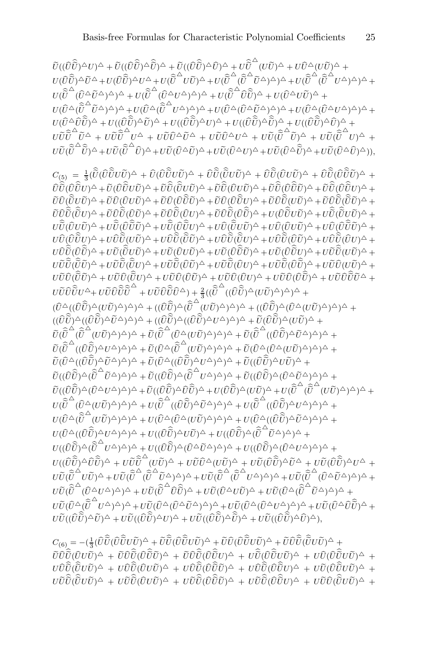$\widetilde{U}((\widehat{U}\widehat{\widetilde{U}})^{\triangle}U)^{\triangle}+\widetilde{U}((\widehat{U}\widehat{\widetilde{U}})^{\triangle}\widehat{\widetilde{U}})^{\triangle}+\widetilde{U}((\widehat{U}\widehat{\widetilde{U}})^{\triangle}\widehat{U})^{\triangle}+U\widehat{\widetilde{U}}^{\triangle}(U\widetilde{U})^{\triangle}+U\widehat{U}^{\triangle}(U\widetilde{U})^{\triangle}+$  $U(\widehat{U}\widehat{\widetilde{U}})^{\Delta}\widetilde{U}^{\Delta}+U(\widehat{U}\widehat{\widetilde{U}})^{\Delta}U^{\Delta}+U(\widehat{\widetilde{U}}^{\Delta}\widetilde{U}\widetilde{U})^{\Delta}+U(\widehat{\widetilde{U}}^{\Delta}(\widehat{\widetilde{U}}^{\Delta}\widetilde{U}^{\Delta})^{\Delta})^{\Delta}+U(\widehat{\widetilde{U}}^{\Delta}(\widehat{\widetilde{U}}^{\Delta}U^{\Delta})^{\Delta})^{\Delta}+U(\widehat{\widetilde{U}}^{\Delta}\widetilde{U}^{\Delta}U^{\Delta})^{\Delta})^{\Delta}$  $U(\hat{\tilde{U}}^{\triangle}(\hat{U}^{\triangle}\tilde{U}^{\triangle})^{\triangle})^{\triangle}+U(\hat{\tilde{U}}^{\triangle}(\hat{U}^{\triangle}U^{\triangle})^{\triangle})^{\triangle}+U(\hat{\tilde{U}}^{\triangle}\hat{U}\hat{\tilde{U}})^{\triangle}+U(\hat{U}^{\triangle}U\tilde{U})^{\triangle}+$  $U(\widehat{U}^{\Delta}(\widehat{\widetilde{U}}^{\Delta}\widetilde{U}^{\Delta})^{\Delta})^{\Delta}+U(\widehat{U}^{\Delta}(\widehat{\widetilde{U}}^{\Delta}U^{\Delta})^{\Delta})^{\Delta}+U(\widehat{U}^{\Delta}(\widehat{U}^{\Delta}\widetilde{U}^{\Delta})^{\Delta})^{\Delta}+U(\widehat{U}^{\Delta}(\widehat{U}^{\Delta}U^{\Delta})^{\Delta})^{\Delta}+U(\widehat{U}^{\Delta}(\widehat{U}^{\Delta}U^{\Delta})^{\Delta})^{\Delta}+U(\widehat{U}^{\Delta}(\widehat{U}^{\Delta}U^{\Delta})^$  $U(\widehat{U}^{\Delta}\widehat{\hat{U}}\widehat{\hat{U}})^{\Delta}+U((\widehat{U}\widehat{\tilde{U}})^{\Delta}\widetilde{U})^{\Delta}+U((\widehat{\hat{U}}\widehat{\tilde{U}})^{\Delta}U)^{\Delta}+U((\widehat{U}\widehat{\tilde{U}})^{\Delta}\widehat{\tilde{U}})^{\Delta}+U((\widehat{U}\widehat{\tilde{U}})^{\Delta}\widehat{\tilde{U}})^{\Delta}+\nonumber\\$  $\begin{split} U\widetilde{U}\widehat{\widetilde{U}}^\Delta\widetilde{U}^\Delta + U\widetilde{\widetilde{U}}\widehat{\widetilde{U}}^\Delta U^\Delta + U\widetilde{U}\widehat{U}^\Delta\widetilde{U}^\Delta + U\widetilde{U}\widehat{U}^\Delta U^\Delta + U\widetilde{U}(\widehat{\widetilde{U}}^\Delta\widetilde{U})^\Delta + U\widetilde{U}(\widehat{\widetilde{U}}^\Delta U)^\Delta + U\widetilde{U}(\widehat{\widetilde{U}}^\Delta U)^\Delta + U\widetilde{U}(\widehat{\widetilde{U}}^\Delta U)^\Delta + U\widetilde{U}(\$  $U\tilde{U}(\widehat{\widetilde{U}}^{\triangle} \widehat{\widetilde{U}})^{\triangle}+U\widetilde{U}(\widehat{\widetilde{U}}^{\triangle}\widetilde{U})^{\triangle}+U\widetilde{U}(\widehat{U}^{\triangle}\widetilde{U})^{\triangle}+U\widetilde{U}(\widehat{U}^{\triangle}U)^{\triangle}+U\widetilde{U}(\widehat{U}^{\triangle}\widehat{\widetilde{U}})^{\triangle}+U\widetilde{U}(\widehat{U}^{\triangle}\widehat{\widetilde{U}})^{\triangle}),$  $C_{(5)} \ = \ \frac{1}{3} ( \widehat{\tilde{U}} ( \widehat{U} \widehat{\tilde{U}} U \widetilde{U} )^{\Delta} \ + \ {\widehat{U}} ( \widehat{\tilde{U}} \widetilde{U} \widetilde{U} )^{\Delta} \ + \ {\widehat{U}} \widehat{\tilde{U}} ( \widehat{\tilde{U}} U \widetilde{U} )^{\Delta} \ + \ {\widehat{U}} \widehat{\tilde{U}} ( \widehat{\tilde{U}} U \widetilde{U} )^{\Delta} \ + \ {\widehat{U}} \widehat{\tilde{U}} ( \widehat{\tilde{U}} \widetilde{U} \widetilde{U} )^{\Delta$  $\hat{U}\hat{\tilde{U}}(\hat{U}\hat{\tilde{U}}U)\triangle + \tilde{U}(\hat{U}\hat{\tilde{U}}\tilde{U}\tilde{U})\triangle + \tilde{U}\hat{\tilde{U}}(\hat{\tilde{U}}U\tilde{U})\triangle + \tilde{U}\hat{\tilde{U}}(\hat{U}\tilde{U}\tilde{U})\triangle + \tilde{U}\hat{\tilde{U}}(\hat{U}\hat{\tilde{U}}\tilde{U})\triangle + \tilde{U}\hat{\tilde{U}}(\hat{U}\hat{\tilde{U}}\tilde{U})\triangle + \tilde{U}\hat{\tilde{U}}(\hat{U}\hat{\tilde{U}}\tilde{U$  $\tilde{U}\hat{U}(\hat{\tilde{U}}U\tilde{U})^{\triangle}+\tilde{U}\hat{U}(\hat{U}\tilde{U}\tilde{U})^{\triangle}+\tilde{U}\hat{U}(\hat{U}\hat{\tilde{U}}\tilde{U})^{\triangle}+\tilde{U}\hat{U}\hat{\tilde{U}}\tilde{\tilde{U}}\tilde{U}\tilde{U})^{\triangle}+\tilde{U}\hat{U}\hat{\tilde{U}}\tilde{\tilde{U}}\tilde{\tilde{U}}\tilde{\tilde{U}}^{\triangle}+\tilde{U}\hat{\tilde{U}}\tilde{\tilde{U}}\tilde{\tilde{U}}^{\triangle}+\tilde{U}\$  $\tilde{U}\hat{\tilde{U}}\hat{\tilde{U}}\tilde{\tilde{U}}\tilde{\tilde{U}}\hat{\tilde{U}}\tilde{\tilde{U}}\tilde{\tilde{U}}\tilde{\tilde{U}}\tilde{\tilde{U}}\tilde{\tilde{U}}\tilde{\tilde{U}}\tilde{\tilde{U}}\tilde{\tilde{U}}\tilde{\tilde{U}}\tilde{\tilde{U}}\tilde{\tilde{U}}\tilde{\tilde{U}}\tilde{\tilde{U}}\tilde{\tilde{U}}\tilde{\tilde{U}}\tilde{\tilde{U}}\tilde{\tilde{U}}\tilde{\tilde{U}}\tilde{\tilde{U}}\til$  $\begin{split} U\hat{\vec{U}}(\hat{U}\hat{U}\tilde{U}) &\Delta + U\hat{\vec{U}}(\hat{U}\hat{\vec{U}}\tilde{U})^{\Delta} + U\hat{\vec{U}}(\hat{U}\hat{\vec{U}}\tilde{U})^{\Delta} + U\hat{\vec{U}}(\hat{\vec{U}}\tilde{U}\tilde{U})^{\Delta} + U\hat{\vec{U}}(\hat{U}\tilde{U}\tilde{U})^{\Delta} + U\hat{\vec{U}}(\hat{U}\hat{\vec{U}}\tilde{U})^{\Delta} + \hat{\vec{U}}\hat{\vec{U}}(\hat{\vec{U}}\tilde{U}\tilde{U})^{\Delta} + \hat{\$  $U\hat{U}(\hat{U}\hat{\tilde{U}}U)^{\Delta}+U\hat{U}\hat{\tilde{U}}(\tilde{U}\tilde{U})^{\Delta}+U\hat{U}\hat{\tilde{U}}(\tilde{\tilde{U}}\tilde{U})^{\Delta}+U\hat{U}\hat{\tilde{U}}(\tilde{\tilde{U}}\tilde{U})^{\Delta}+U\hat{U}\hat{\tilde{U}}(\tilde{U}\tilde{U})^{\Delta}+U\hat{U}\hat{\tilde{U}}(\tilde{U}\tilde{U})^{\Delta}+U\hat{\tilde{U}}\hat{\tilde{U}}(\tilde{U}\tilde{U})^{\Delta}+U\hat{\tilde{U}}\$  $U\hat{U}\hat{\tilde{U}}(\hat{U}\hat{\tilde{U}})\hat{O}+U\tilde{U}(\hat{\tilde{U}}U\tilde{U})\hat{O}+U\tilde{U}(\hat{U}\hat{\tilde{U}}\tilde{U})\hat{O}+U\tilde{U}(\hat{U}\hat{\tilde{U}}\tilde{U})\hat{O}+U\tilde{U}\hat{\tilde{U}}\tilde{U}\tilde{U}\tilde{O}\tilde{O}\tilde{U})\hat{O}+U\tilde{U}\hat{\tilde{U}}\tilde{U}\tilde{U}\tilde{O}\tilde{O}\tilde{U}$  $U\tilde{U}\hat{\tilde{U}}(\hat{\tilde{U}}\tilde{U})^{\triangle}+U\tilde{\tilde{U}}\hat{\tilde{U}}\tilde{\tilde{U}}\tilde{U}\tilde{\tilde{U}}(\tilde{U}\tilde{U})^{\triangle}+U\tilde{\tilde{U}}\hat{\tilde{U}}(\tilde{U}\tilde{U})^{\triangle}+U\tilde{\tilde{U}}\hat{\tilde{U}}(\tilde{\tilde{U}}\tilde{\tilde{U}})^{\triangle}+U\tilde{U}\hat{\tilde{U}}(\tilde{U}\tilde{\tilde{U}})^{\triangle}+\tilde{U}\tilde{\tilde{U}}\tilde{\tilde{U}}$  $U\tilde{U}\hat{U}(\hat{\tilde{U}}\tilde{U})^{\triangle}+U\tilde{U}\hat{U}(\hat{\tilde{U}}U)^{\triangle}+U\tilde{U}\hat{U}(\hat{U}\tilde{U})^{\triangle}+U\tilde{U}\hat{U}(\hat{U}\tilde{U})^{\triangle}+U\tilde{U}\hat{U}\hat{\tilde{U}}\tilde{\tilde{U}}^{\triangle}+U\tilde{U}\hat{U}\tilde{\tilde{U}}\tilde{\tilde{U}}^{\triangle}+U\tilde{U}\hat{U}\hat{\tilde{U}}\tilde{\tilde{U}}^{\triangle}+U\tilde{U}\hat{\tilde{U}}\til$  $U\tilde{U}\hat{U}\tilde{\hat{U}}U^{\Delta}+U\tilde{U}\hat{U}\hat{\tilde{U}}\hat{\tilde{U}}^{\Delta}+U\tilde{U}\hat{U}\hat{\tilde{U}}\tilde{U}^{\Delta})+\frac{2}{3}((\hat{\tilde{U}}^{\Delta}((\hat{U}\hat{\tilde{U}})^{\Delta}(U\tilde{U})^{\Delta})^{\Delta})^{\Delta}+$  $(\widehat{U}^{\Delta}((\widehat{U}\widehat{U})^{\Delta})^{\Delta})^{\Delta})^{\Delta} + ((\widehat{U}\widehat{U})^{\Delta}(\widehat{U}^{\Delta}(U\widetilde{U})^{\Delta})^{\Delta})^{\Delta} + ((\widehat{U}\widehat{U})^{\Delta}(\widehat{U}^{\Delta}(U\widetilde{U})^{\Delta})^{\Delta})^{\Delta})^{\Delta} +$  $((\widehat{U}\widehat{\widetilde{U}})^{\triangle}((\widehat{U}\widehat{\widetilde{U}})^{\triangle}\widetilde{U}^{\triangle})^{\triangle})^{\triangle} + ((\widehat{U}\widehat{\widetilde{U}})^{\triangle}((\widehat{U}\widehat{\widetilde{U}})^{\triangle}U^{\triangle})^{\triangle})^{\triangle} + \widetilde{U}(\widehat{U}\widehat{\widetilde{U}})^{\triangle}(U\widetilde{U})^{\triangle} +$  $\tilde{\tilde{U}}(\hat{\tilde{U}}^{\hat{\alpha}}(\hat{U}^{\hat{\alpha}}(U\tilde{U})^{\hat{\alpha}})^{\hat{\alpha}})\hat{\alpha} + \tilde{U}(\hat{\tilde{U}}^{\hat{\alpha}}(\hat{U}^{\hat{\alpha}}(U\tilde{U})^{\hat{\alpha}})^{\hat{\alpha}})^{\hat{\alpha}} + \tilde{U}(\hat{\tilde{U}}^{\hat{\alpha}}((\hat{U}\hat{\tilde{U}})^{\hat{\alpha}}\tilde{U}^{\hat{\alpha}})^{\hat{\alpha}})^{\hat{\alpha}} +$  $\tilde{U}(\widehat{\tilde{U}}^{\triangle}((\widehat{U}\widehat{\tilde{U}})^{\triangle}U^{\triangle})^{\triangle})^{\triangle}+\tilde{U}(\widehat{U}^{\triangle}(\widehat{\tilde{U}}^{\triangle}(U\widetilde{U})^{\triangle})^{\triangle})^{\triangle}+\tilde{U}(\widehat{U}^{\triangle}(\widehat{U}^{\triangle}(U\widetilde{U})^{\triangle})^{\triangle})^{\triangle}+$  $\tilde{U}(\widehat{U}^{\Delta}((\widehat{U}\widehat{\widetilde{U}})^{\Delta}\widetilde{U}^{\Delta})^{\Delta} )^{\Delta} + \tilde{U}(\widehat{U}^{\Delta}((\widehat{U}\widehat{\widetilde{U}})^{\Delta}U^{\Delta})^{\Delta} )^{\Delta} + \tilde{U}((\widehat{U}\widehat{\widetilde{U}})^{\Delta}U\widetilde{U} )^{\Delta} + \cdots$  $\tilde{U}((\hat{U}\hat{\tilde{U}})^{\triangle}(\hat{\tilde{U}}^{\triangle}\tilde{U}^{\triangle})^{\triangle})^{\triangle} + \tilde{U}((\hat{U}\hat{\tilde{U}})^{\triangle}(\hat{\tilde{U}}^{\triangle}U^{\triangle})^{\triangle})^{\triangle} + \tilde{U}((\hat{U}\hat{\tilde{U}})^{\triangle}(\hat{U}^{\triangle}\tilde{U}^{\triangle})^{\triangle})^{\triangle} +$  $\tilde{U}((\widehat{U}\widehat{\widetilde{U}})^{\triangle}(\widehat{U}^{\triangle}U^{\triangle})^{\triangle})^{\triangle}+\tilde{U}((\widehat{U}\widehat{\widetilde{U}})^{\triangle}\widehat{U}\widehat{\widetilde{U}})^{\triangle}+U(\widehat{U}\widehat{\widetilde{U}})^{\triangle}(U\widetilde{U})^{\triangle}+U(\widehat{\widetilde{U}}^{\triangle}(\widehat{\widetilde{U}}^{\triangle}(\widetilde{U}\widetilde{U})^{\triangle})^{\triangle})^{\triangle}+$  $U(\hat{\tilde{U}}^{\triangle}(\hat{U}^{\triangle}(U\tilde{U})^{\triangle})^{\triangle})^{\triangle}+U(\hat{\tilde{U}}^{\triangle}((\hat{U}\hat{\tilde{U}})^{\triangle}\tilde{U}^{\triangle})^{\triangle})^{\triangle}+U(\hat{\tilde{U}}^{\triangle}((\hat{U}\hat{\tilde{U}})^{\triangle}U^{\triangle})^{\triangle})^{\triangle}+$  $U(\widehat{U}^{\Delta}(\widehat{\widetilde{U}}^{\Delta}(U\widetilde{U})^{\Delta})^{\Delta})^{\Delta}+U(\widehat{U}^{\Delta}(\widehat{U}^{\Delta}(U\widetilde{U})^{\Delta})^{\Delta})^{\Delta}+U(\widehat{U}^{\Delta}((\widehat{U}\widehat{\widetilde{U}})^{\Delta}\widetilde{U}^{\Delta})^{\Delta})^{\Delta}+$  $U(\widehat{U}^{\Delta}((\widehat{U}\widehat{\widetilde{U}})^{\Delta}U^{\Delta})^{\Delta} )^{\Delta} + U((\widehat{U}\widehat{\widetilde{U}})^{\Delta}U\widetilde{U})^{\Delta} + U((\widehat{U}\widehat{\widetilde{U}})^{\Delta}(\widehat{\widetilde{U}}^{\Delta}\widetilde{U}^{\Delta})^{\Delta} )^{\Delta} +$  $U((\widehat{U}\widehat{\widetilde{U}})\triangleq(\widehat{\widetilde{U}}^{\triangle}U^{\triangle})^{\triangle})\triangle +U((\widehat{U}\widehat{\widetilde{U}})\triangleq(\widehat{U}^{\triangle}\widetilde{U}^{\triangle})^{\triangle})\triangle +U((\widehat{U}\widehat{\widetilde{U}})^{\triangle}(\widehat{U}^{\triangle}U^{\triangle})^{\triangle})\triangle +$  $U((\hat{U}\hat{\tilde{U}})^{\triangle} \hat{U}\hat{\tilde{U}})^{\triangle} + U\tilde{U}\hat{\tilde{U}}^{\triangle}(\tilde{U}\tilde{U})^{\triangle} + U\tilde{U}\hat{U}^{\triangle}(\tilde{U}\tilde{U})^{\triangle} + U\tilde{U}(\hat{U}\hat{\tilde{U}})^{\triangle} \tilde{U}^{\triangle} + U\tilde{U}(\hat{U}\hat{\tilde{U}})^{\triangle}U^{\triangle} +$  $U\overset{\sim}{U}\overset{\sim}{U}\overset{\sim}{U}\overset{\sim}{U}\overset{\sim}{U}\overset{\sim}{U}\overset{\sim}{U}\overset{\sim}{U}\overset{\sim}{U}\overset{\sim}{D}\overset{\sim}{D}\overset{\sim}{D})\triangleq+U\overset{\sim}{U}(\overset{\sim}{\widetilde{U}}\overset{\sim}{U}\overset{\sim}{U}\overset{\sim}{U}\overset{\sim}{U}\overset{\sim}{D})\overset{\sim}{D})\triangleq+U\overset{\sim}{U}(\overset{\sim}{\widetilde{U}}\overset{\sim}{U}\overset{\sim}{D})\overset{\sim}{D})\overset{\sim}{D}+U\overset{\sim$  $U\tilde{U}(\widehat{\tilde{U}}^{\triangle}(\widehat{U}^{\triangle}U^{\triangle})^{\triangle})^{\triangle}+U\tilde{U}(\widehat{\tilde{U}}^{\triangle}\widehat{U}\widehat{\tilde{U}})^{\triangle}+U\tilde{U}(\widehat{U}^{\triangle}U\tilde{U})^{\triangle}+U\tilde{U}(\widehat{U}^{\triangle}(\widehat{\tilde{U}}^{\triangle}\widetilde{U}^{\triangle})^{\triangle})^{\triangle}+$  $U\tilde{U}(\widehat{U}^{\Delta}(\widehat{\widetilde{U}}^{\Delta}U^{\Delta})^{\Delta})^{\Delta}+U\tilde{U}(\widehat{U}^{\Delta}(\widehat{U}^{\Delta}\widetilde{U}^{\Delta})^{\Delta})^{\Delta}+U\tilde{U}(\widehat{U}^{\Delta}(\widehat{U}^{\Delta}U^{\Delta})^{\Delta})^{\Delta}+U\tilde{U}(\widehat{U}^{\Delta}\widehat{U}\widehat{\widetilde{U}}^{\Delta})^{\Delta}+U\tilde{U}(\widehat{U}^{\Delta}\widetilde{U}\widehat{\widetilde{U}}^{\Delta})^{\Delta}+U\tilde{U}$  $U\tilde{U}((\hat{U}\hat{\tilde{U}})^{\Delta}\tilde{U})^{\Delta} + U\tilde{U}((\hat{U}\hat{\tilde{U}})^{\Delta}U)^{\Delta} + U\tilde{U}((\hat{U}\hat{\tilde{U}})^{\Delta}\hat{\tilde{U}})^{\Delta} + U\tilde{U}((\hat{U}\hat{\tilde{U}})^{\Delta}\hat{U})^{\Delta}),$ 

 $C_{(6)} = -(\tfrac{1}{3} ( \widehat{U} \widehat{\tilde{U}} (\widehat{U} \widehat{\tilde{U}} U \widetilde{U})^\Delta + \widetilde{U} \widehat{\tilde{U}} (\widehat{U} \widehat{\tilde{U}} U \widetilde{U})^\Delta + \widetilde{U} \widehat{U} (\widehat{U} \widehat{\tilde{U}} U \widetilde{U})^\Delta + \widetilde{U} \widehat{U} \widehat{\tilde{U}} (\widehat{\tilde{U}} U \widetilde{U})^\Delta + \cdots)$  $\tilde{U}\hat{\tilde{U}}\hat{\tilde{U}}\hat{U}\tilde{U}\tilde{U}\tilde{U}^{\prime\prime}\hat{U}+\tilde{U}\hat{U}\hat{\tilde{U}}\hat{\tilde{U}}\hat{\tilde{U}}\tilde{\tilde{U}}\tilde{\tilde{U}}\tilde{\tilde{U}}\tilde{\tilde{U}}^{\prime\prime}\rangle^{\Delta}+U\hat{\tilde{U}}(\hat{U}\hat{\tilde{U}}\tilde{U}\tilde{U})^{\Delta}+U\hat{\tilde{U}}(\hat{U}\hat{\tilde{U}}\tilde{U}\tilde{U})^{\Delta}+U\hat{\tilde{U}}(\hat{U}\$  $U\hat{U}\hat{\tilde{U}}(\hat{\tilde{U}}U\tilde{U})^{\Delta}+U\hat{U}\hat{\tilde{U}}(\hat{U}U\tilde{U})^{\Delta}+U\hat{U}\hat{\tilde{U}}(\hat{U}\hat{\tilde{U}}\tilde{U})^{\Delta}+U\hat{U}\hat{\tilde{U}}(\hat{U}\hat{\tilde{U}}U)^{\Delta}+U\tilde{U}(\hat{U}\hat{\tilde{U}}U\tilde{U})^{\Delta}+U\tilde{U}(\hat{U}\hat{\tilde{U}}U\tilde{U})^{\Delta}$  $U\tilde{U}\hat{\tilde{U}}(\hat{\tilde{U}}U\tilde{U})^{\Delta}+U\tilde{U}\hat{\tilde{U}}(\hat{U}U\tilde{U})^{\Delta}+U\tilde{U}\hat{\tilde{U}}(\hat{U}\tilde{\tilde{U}}\tilde{U})^{\Delta}+U\tilde{U}\hat{\tilde{U}}(\hat{U}\tilde{\tilde{U}}U)^{\Delta}+U\tilde{U}\hat{\tilde{U}}(\tilde{\tilde{U}}U\tilde{U})^{\Delta}+U\tilde{U}\hat{\tilde{U}}(\tilde{\tilde{U}}U\tilde{U})^{\Delta}$